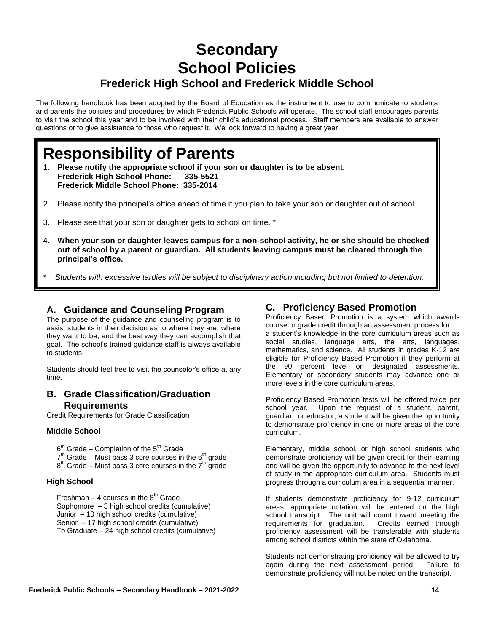# **Secondary School Policies Frederick High School and Frederick Middle School**

The following handbook has been adopted by the Board of Education as the instrument to use to communicate to students and parents the policies and procedures by which Frederick Public Schools will operate. The school staff encourages parents to visit the school this year and to be involved with their child's educational process. Staff members are available to answer questions or to give assistance to those who request it. We look forward to having a great year.

# **Responsibility of Parents**

- 1. **Please notify the appropriate school if your son or daughter is to be absent. Frederick High School Phone: 335-5521 Frederick Middle School Phone: 335-2014**
- 2. Please notify the principal's office ahead of time if you plan to take your son or daughter out of school.
- 3. Please see that your son or daughter gets to school on time. \*
- 4. **When your son or daughter leaves campus for a non-school activity, he or she should be checked out of school by a parent or guardian. All students leaving campus must be cleared through the principal's office.**

*\* Students with excessive tardies will be subject to disciplinary action including but not limited to detention.*

### **A. Guidance and Counseling Program**

The purpose of the guidance and counseling program is to assist students in their decision as to where they are, where they want to be, and the best way they can accomplish that goal. The school's trained guidance staff is always available to students.

Students should feel free to visit the counselor's office at any time.

### **B. Grade Classification/Graduation Requirements**

Credit Requirements for Grade Classification

#### **Middle School**

 $6<sup>th</sup>$  Grade – Completion of the  $5<sup>th</sup>$  Grade

 $7<sup>th</sup>$  Grade – Must pass 3 core courses in the  $6<sup>th</sup>$  grade

 $8<sup>th</sup>$  Grade – Must pass 3 core courses in the  $7<sup>th</sup>$  grade

#### **High School**

Freshman – 4 courses in the  $8<sup>th</sup>$  Grade Sophomore – 3 high school credits (cumulative) Junior – 10 high school credits (cumulative) Senior – 17 high school credits (cumulative) To Graduate – 24 high school credits (cumulative)

### **C. Proficiency Based Promotion**

Proficiency Based Promotion is a system which awards course or grade credit through an assessment process for a student's knowledge in the core curriculum areas such as social studies, language arts, the arts, languages, mathematics, and science. All students in grades K-12 are eligible for Proficiency Based Promotion if they perform at the 90 percent level on designated assessments. Elementary or secondary students may advance one or more levels in the core curriculum areas.

Proficiency Based Promotion tests will be offered twice per school year. Upon the request of a student, parent, guardian, or educator, a student will be given the opportunity to demonstrate proficiency in one or more areas of the core curriculum.

Elementary, middle school, or high school students who demonstrate proficiency will be given credit for their learning and will be given the opportunity to advance to the next level of study in the appropriate curriculum area. Students must progress through a curriculum area in a sequential manner.

If students demonstrate proficiency for 9-12 curriculum areas, appropriate notation will be entered on the high school transcript. The unit will count toward meeting the requirements for graduation. Credits earned through proficiency assessment will be transferable with students among school districts within the state of Oklahoma.

Students not demonstrating proficiency will be allowed to try again during the next assessment period. Failure to demonstrate proficiency will not be noted on the transcript.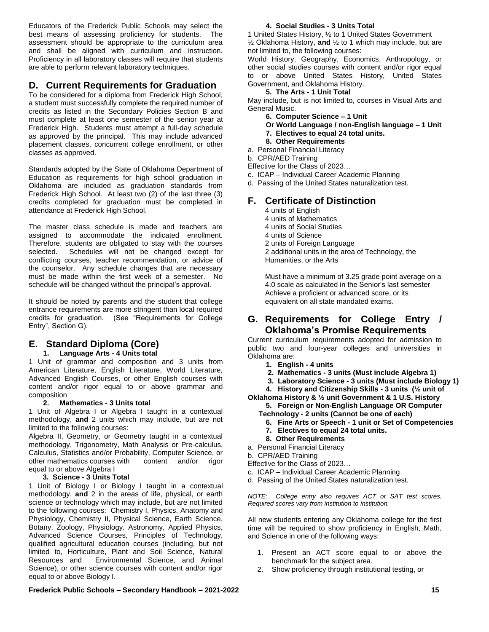Educators of the Frederick Public Schools may select the best means of assessing proficiency for students. The assessment should be appropriate to the curriculum area and shall be aligned with curriculum and instruction. Proficiency in all laboratory classes will require that students are able to perform relevant laboratory techniques.

### **D. Current Requirements for Graduation**

To be considered for a diploma from Frederick High School, a student must successfully complete the required number of credits as listed in the Secondary Policies Section B and must complete at least one semester of the senior year at Frederick High. Students must attempt a full-day schedule as approved by the principal. This may include advanced placement classes, concurrent college enrollment, or other classes as approved.

Standards adopted by the State of Oklahoma Department of Education as requirements for high school graduation in Oklahoma are included as graduation standards from Frederick High School. At least two (2) of the last three (3) credits completed for graduation must be completed in attendance at Frederick High School.

The master class schedule is made and teachers are assigned to accommodate the indicated enrollment. Therefore, students are obligated to stay with the courses selected. Schedules will not be changed except for conflicting courses, teacher recommendation, or advice of the counselor. Any schedule changes that are necessary must be made within the first week of a semester. No schedule will be changed without the principal's approval.

It should be noted by parents and the student that college entrance requirements are more stringent than local required credits for graduation. (See "Requirements for College Entry", Section G).

# **E. Standard Diploma (Core)**

#### **1. Language Arts - 4 Units total**

1 Unit of grammar and composition and 3 units from American Literature, English Literature, World Literature, Advanced English Courses, or other English courses with content and/or rigor equal to or above grammar and composition<br>2. Ma

#### **2. Mathematics - 3 Units total**

1 Unit of Algebra I or Algebra I taught in a contextual methodology, **and** 2 units which may include, but are not limited to the following courses:

Algebra II, Geometry, or Geometry taught in a contextual methodology, Trigonometry, Math Analysis or Pre-calculus, Calculus, Statistics and/or Probability, Computer Science, or other mathematics courses with content and/or rigor equal to or above Algebra I

#### **3. Science - 3 Units Total**

1 Unit of Biology I or Biology I taught in a contextual methodology, **and** 2 in the areas of life, physical, or earth science or technology which may include, but are not limited to the following courses: Chemistry I, Physics, Anatomy and Physiology, Chemistry II, Physical Science, Earth Science, Botany, Zoology, Physiology, Astronomy, Applied Physics, Advanced Science Courses, Principles of Technology, qualified agricultural education courses (including, but not limited to, Horticulture, Plant and Soil Science, Natural Resources and Environmental Science, and Animal Science), or other science courses with content and/or rigor equal to or above Biology I.

#### **4. Social Studies - 3 Units Total**

1 United States History, ½ to 1 United States Government ½ Oklahoma History, **and** ½ to 1 which may include, but are not limited to, the following courses:

World History, Geography, Economics, Anthropology, or other social studies courses with content and/or rigor equal to or above United States History, United States Government, and Oklahoma History.

#### **5. The Arts - 1 Unit Total**

May include, but is not limited to, courses in Visual Arts and General Music.

- **6. Computer Science – 1 Unit**
- **Or World Language / non-English language – 1 Unit**
- **7. Electives to equal 24 total units.**
- **8. Other Requirements**
- a. Personal Financial Literacy
- b. CPR/AED Training

Effective for the Class of 2023…

- c. ICAP Individual Career Academic Planning
- d. Passing of the United States naturalization test.

### **F. Certificate of Distinction**

- 4 units of English
- 4 units of Mathematics
- 4 units of Social Studies
- 4 units of Science
- 2 units of Foreign Language
- 2 additional units in the area of Technology, the Humanities, or the Arts

Must have a minimum of 3.25 grade point average on a 4.0 scale as calculated in the Senior's last semester Achieve a proficient or advanced score, or its equivalent on all state mandated exams.

### **G. Requirements for College Entry / Oklahoma's Promise Requirements**

Current curriculum requirements adopted for admission to public two and four-year colleges and universities in Oklahoma are:

- **1. English - 4 units**
- **2. Mathematics - 3 units (Must include Algebra 1)**
- **3. Laboratory Science - 3 units (Must include Biology 1)**
- **4. History and Citizenship Skills - 3 units (½ unit of**

#### **Oklahoma History & ½ unit Government & 1 U.S. History 5. Foreign or Non-English Language OR Computer**

**Technology - 2 units (Cannot be one of each)**

- **6. Fine Arts or Speech - 1 unit or Set of Competencies**
- **7. Electives to equal 24 total units.**
- **8. Other Requirements**
- a. Personal Financial Literacy
- b. CPR/AED Training
- Effective for the Class of 2023…
- c. ICAP Individual Career Academic Planning
- d. Passing of the United States naturalization test.

*NOTE: College entry also requires ACT or SAT test scores. Required scores vary from institution to institution.*

All new students entering any Oklahoma college for the first time will be required to show proficiency in English, Math, and Science in one of the following ways:

- 1. Present an ACT score equal to or above the benchmark for the subject area.
- 2. Show proficiency through institutional testing, or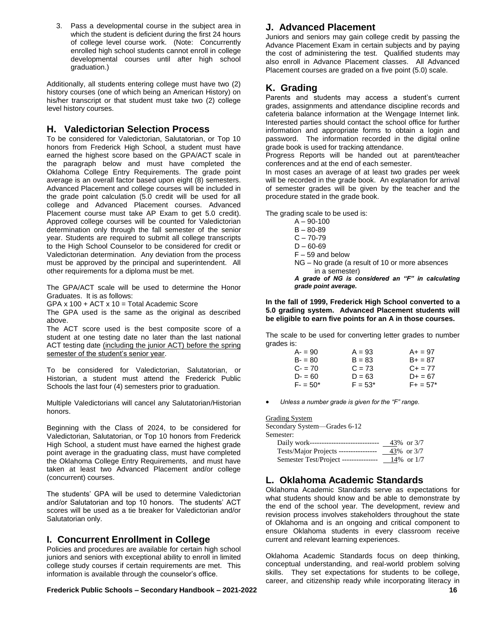3. Pass a developmental course in the subject area in which the student is deficient during the first 24 hours of college level course work. (Note: Concurrently enrolled high school students cannot enroll in college developmental courses until after high school graduation.)

Additionally, all students entering college must have two (2) history courses (one of which being an American History) on his/her transcript or that student must take two (2) college level history courses.

### **H. Valedictorian Selection Process**

To be considered for Valedictorian, Salutatorian, or Top 10 honors from Frederick High School, a student must have earned the highest score based on the GPA/ACT scale in the paragraph below and must have completed the Oklahoma College Entry Requirements. The grade point average is an overall factor based upon eight (8) semesters. Advanced Placement and college courses will be included in the grade point calculation (5.0 credit will be used for all college and Advanced Placement courses. Advanced Placement course must take AP Exam to get 5.0 credit). Approved college courses will be counted for Valedictorian determination only through the fall semester of the senior year. Students are required to submit all college transcripts to the High School Counselor to be considered for credit or Valedictorian determination. Any deviation from the process must be approved by the principal and superintendent. All other requirements for a diploma must be met.

The GPA/ACT scale will be used to determine the Honor Graduates. It is as follows:

GPA x 100 + ACT x 10 = Total Academic Score

The GPA used is the same as the original as described above.

The ACT score used is the best composite score of a student at one testing date no later than the last national ACT testing date (including the junior ACT) before the spring semester of the student's senior year.

To be considered for Valedictorian, Salutatorian, or Historian, a student must attend the Frederick Public Schools the last four (4) semesters prior to graduation.

Multiple Valedictorians will cancel any Salutatorian/Historian honors.

Beginning with the Class of 2024, to be considered for Valedictorian, Salutatorian, or Top 10 honors from Frederick High School, a student must have earned the highest grade point average in the graduating class, must have completed the Oklahoma College Entry Requirements, and must have taken at least two Advanced Placement and/or college (concurrent) courses.

The students' GPA will be used to determine Valedictorian and/or Salutatorian and top 10 honors. The students' ACT scores will be used as a tie breaker for Valedictorian and/or Salutatorian only.

### **I. Concurrent Enrollment in College**

Policies and procedures are available for certain high school juniors and seniors with exceptional ability to enroll in limited college study courses if certain requirements are met. This information is available through the counselor's office.

#### **Frederick Public Schools – Secondary Handbook – 2021-2022 16**

### **J. Advanced Placement**

Juniors and seniors may gain college credit by passing the Advance Placement Exam in certain subjects and by paying the cost of administering the test. Qualified students may also enroll in Advance Placement classes. All Advanced Placement courses are graded on a five point (5.0) scale.

### **K. Grading**

Parents and students may access a student's current grades, assignments and attendance discipline records and cafeteria balance information at the Wengage Internet link. Interested parties should contact the school office for further information and appropriate forms to obtain a login and password. The information recorded in the digital online grade book is used for tracking attendance.

Progress Reports will be handed out at parent/teacher conferences and at the end of each semester.

In most cases an average of at least two grades per week will be recorded in the grade book. An explanation for arrival of semester grades will be given by the teacher and the procedure stated in the grade book.

The grading scale to be used is:

| A – 90-100                                        |
|---------------------------------------------------|
|                                                   |
| B – 80-89                                         |
| C – 70-79                                         |
| D – 60-69                                         |
| F – 59 and below                                  |
| NG – No grade (a result of 10 or more absences    |
| in a semester)                                    |
| A grade of NG is considered an "F" in calculating |
| grade point average.                              |

**In the fall of 1999, Frederick High School converted to a 5.0 grading system. Advanced Placement students will be eligible to earn five points for an A in those courses.** 

The scale to be used for converting letter grades to number grades is:

| $A - 90$   | $A = 93$  | $A+ = 97$    |
|------------|-----------|--------------|
| $B - 80$   | $B = 83$  | $B+ = 87$    |
| $C = 70$   | $C = 73$  | $C_{+}$ = 77 |
| $D - 60$   | $D = 63$  | $D+ = 67$    |
| $F = 50^*$ | $F = 53*$ | $F+ = 57*$   |

*Unless a number grade is given for the "F" range.*

Grading System

Secondary System—Grades 6-12 Semester: Daily work-------------------------------- <u>43</u>% or 3/7 Tests/Major Projects ---------------- 43% or 3/7 Semester Test/Project --------------- 14% or 1/7

# **L. Oklahoma Academic Standards**

Oklahoma Academic Standards serve as expectations for what students should know and be able to demonstrate by the end of the school year. The development, review and revision process involves stakeholders throughout the state of Oklahoma and is an ongoing and critical component to ensure Oklahoma students in every classroom receive current and relevant learning experiences.

Oklahoma Academic Standards focus on deep thinking, conceptual understanding, and real‐world problem solving skills. They set expectations for students to be college, career, and citizenship ready while incorporating literacy in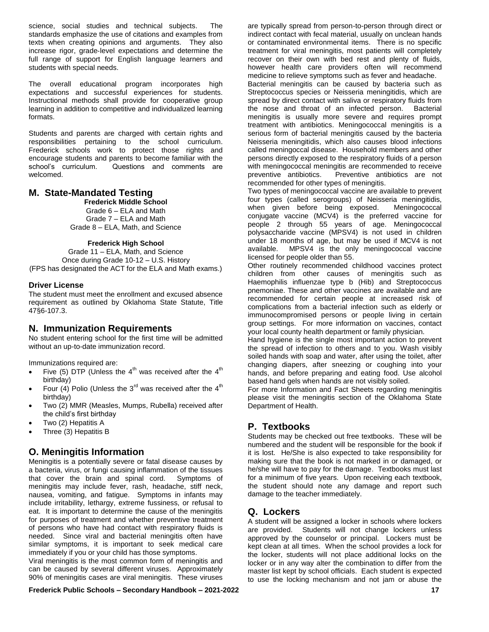science, social studies and technical subjects. The standards emphasize the use of citations and examples from texts when creating opinions and arguments. They also increase rigor, grade‐level expectations and determine the full range of support for English language learners and students with special needs.

The overall educational program incorporates high expectations and successful experiences for students. Instructional methods shall provide for cooperative group learning in addition to competitive and individualized learning formats.

Students and parents are charged with certain rights and responsibilities pertaining to the school curriculum. Frederick schools work to protect those rights and encourage students and parents to become familiar with the school's curriculum. Questions and comments are welcomed.

### **M. State-Mandated Testing**

**Frederick Middle School**

Grade 6 – ELA and Math Grade 7 – ELA and Math Grade 8 – ELA, Math, and Science

#### **Frederick High School**

Grade 11 – ELA, Math, and Science Once during Grade 10-12 – U.S. History (FPS has designated the ACT for the ELA and Math exams.)

#### **Driver License**

The student must meet the enrollment and excused absence requirement as outlined by Oklahoma State Statute, Title 47§6-107.3.

### **N. Immunization Requirements**

No student entering school for the first time will be admitted without an up-to-date immunization record.

Immunizations required are:

- Five (5) DTP (Unless the  $4<sup>th</sup>$  was received after the  $4<sup>th</sup>$ birthday)
- Four (4) Polio (Unless the  $3<sup>rd</sup>$  was received after the  $4<sup>th</sup>$ birthday)
- Two (2) MMR (Measles, Mumps, Rubella) received after the child's first birthday
- Two (2) Hepatitis A
- Three (3) Hepatitis B

### **O. Meningitis Information**

Meningitis is a potentially severe or fatal disease causes by a bacteria, virus, or fungi causing inflammation of the tissues that cover the brain and spinal cord. Symptoms of meningitis may include fever, rash, headache, stiff neck, nausea, vomiting, and fatigue. Symptoms in infants may include irritability, lethargy, extreme fussiness, or refusal to eat. It is important to determine the cause of the meningitis for purposes of treatment and whether preventive treatment of persons who have had contact with respiratory fluids is needed. Since viral and bacterial meningitis often have similar symptoms, it is important to seek medical care immediately if you or your child has those symptoms.

Viral meningitis is the most common form of meningitis and can be caused by several different viruses. Approximately 90% of meningitis cases are viral meningitis. These viruses

**Frederick Public Schools – Secondary Handbook – 2021-2022 17**

are typically spread from person-to-person through direct or indirect contact with fecal material, usually on unclean hands or contaminated environmental items. There is no specific treatment for viral meningitis, most patients will completely recover on their own with bed rest and plenty of fluids, however health care providers often will recommend medicine to relieve symptoms such as fever and headache. Bacterial meningitis can be caused by bacteria such as Streptococcus species or Neisseria meningitidis, which are spread by direct contact with saliva or respiratory fluids from the nose and throat of an infected person. Bacterial meningitis is usually more severe and requires prompt treatment with antibiotics. Meningococcal meningitis is a serious form of bacterial meningitis caused by the bacteria Neisseria meningitidis, which also causes blood infections called meningoccal disease. Household members and other persons directly exposed to the respiratory fluids of a person with meningococcal meningitis are recommended to receive preventive antibiotics. Preventive antibiotics are not recommended for other types of meningitis.

Two types of meningococcal vaccine are available to prevent four types (called serogroups) of Neisseria meningitidis, when given before being exposed. Meningococcal conjugate vaccine (MCV4) is the preferred vaccine for people 2 through 55 years of age. Meningococcal polysaccharide vaccine (MPSV4) is not used in children under 18 months of age, but may be used if MCV4 is not available. MPSV4 is the only meningococcal vaccine licensed for people older than 55.

Other routinely recommended childhood vaccines protect children from other causes of meningitis such as Haemophilis influenzae type b (Hib) and Streptococcus pnemoniae. These and other vaccines are available and are recommended for certain people at increased risk of complications from a bacterial infection such as elderly or immunocompromised persons or people living in certain group settings. For more information on vaccines, contact your local county health department or family physician.

Hand hygiene is the single most important action to prevent the spread of infection to others and to you. Wash visibly soiled hands with soap and water, after using the toilet, after changing diapers, after sneezing or coughing into your hands, and before preparing and eating food. Use alcohol based hand gels when hands are not visibly soiled.

For more Information and Fact Sheets regarding meningitis please visit the meningitis section of the Oklahoma State Department of Health.

### **P. Textbooks**

Students may be checked out free textbooks. These will be numbered and the student will be responsible for the book if it is lost. He/She is also expected to take responsibility for making sure that the book is not marked in or damaged, or he/she will have to pay for the damage. Textbooks must last for a minimum of five years. Upon receiving each textbook, the student should note any damage and report such damage to the teacher immediately.

### **Q. Lockers**

A student will be assigned a locker in schools where lockers are provided. Students will not change lockers unless approved by the counselor or principal. Lockers must be kept clean at all times. When the school provides a lock for the locker, students will not place additional locks on the locker or in any way alter the combination to differ from the master list kept by school officials. Each student is expected to use the locking mechanism and not jam or abuse the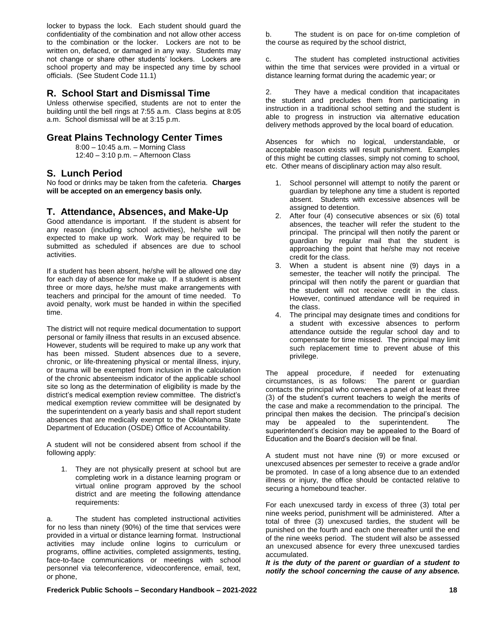locker to bypass the lock. Each student should guard the confidentiality of the combination and not allow other access to the combination or the locker. Lockers are not to be written on, defaced, or damaged in any way. Students may not change or share other students' lockers. Lockers are school property and may be inspected any time by school officials. (See Student Code 11.1)

### **R. School Start and Dismissal Time**

Unless otherwise specified, students are not to enter the building until the bell rings at 7:55 a.m. Class begins at 8:05 a.m. School dismissal will be at 3:15 p.m.

### **Great Plains Technology Center Times**

8:00 – 10:45 a.m. – Morning Class 12:40 – 3:10 p.m. – Afternoon Class

### **S. Lunch Period**

No food or drinks may be taken from the cafeteria. **Charges will be accepted on an emergency basis only.**

### **T. Attendance, Absences, and Make-Up**

Good attendance is important. If the student is absent for any reason (including school activities), he/she will be expected to make up work. Work may be required to be submitted as scheduled if absences are due to school activities.

If a student has been absent, he/she will be allowed one day for each day of absence for make up. If a student is absent three or more days, he/she must make arrangements with teachers and principal for the amount of time needed. To avoid penalty, work must be handed in within the specified time.

The district will not require medical documentation to support personal or family illness that results in an excused absence. However, students will be required to make up any work that has been missed. Student absences due to a severe, chronic, or life-threatening physical or mental illness, injury, or trauma will be exempted from inclusion in the calculation of the chronic absenteeism indicator of the applicable school site so long as the determination of eligibility is made by the district's medical exemption review committee. The district's medical exemption review committee will be designated by the superintendent on a yearly basis and shall report student absences that are medically exempt to the Oklahoma State Department of Education (OSDE) Office of Accountability.

A student will not be considered absent from school if the following apply:

1. They are not physically present at school but are completing work in a distance learning program or virtual online program approved by the school district and are meeting the following attendance requirements:

a. The student has completed instructional activities for no less than ninety (90%) of the time that services were provided in a virtual or distance learning format. Instructional activities may include online logins to curriculum or programs, offline activities, completed assignments, testing, face-to-face communications or meetings with school personnel via teleconference, videoconference, email, text, or phone,

b. The student is on pace for on-time completion of the course as required by the school district,

c. The student has completed instructional activities within the time that services were provided in a virtual or distance learning format during the academic year; or

2. They have a medical condition that incapacitates the student and precludes them from participating in instruction in a traditional school setting and the student is able to progress in instruction via alternative education delivery methods approved by the local board of education.

Absences for which no logical, understandable, or acceptable reason exists will result punishment. Examples of this might be cutting classes, simply not coming to school, etc. Other means of disciplinary action may also result.

- 1. School personnel will attempt to notify the parent or guardian by telephone any time a student is reported absent. Students with excessive absences will be assigned to detention.
- 2. After four (4) consecutive absences or six (6) total absences, the teacher will refer the student to the principal. The principal will then notify the parent or guardian by regular mail that the student is approaching the point that he/she may not receive credit for the class.
- 3. When a student is absent nine (9) days in a semester, the teacher will notify the principal. The principal will then notify the parent or guardian that the student will not receive credit in the class. However, continued attendance will be required in the class.
- 4. The principal may designate times and conditions for a student with excessive absences to perform attendance outside the regular school day and to compensate for time missed. The principal may limit such replacement time to prevent abuse of this privilege.

The appeal procedure, if needed for extenuating circumstances, is as follows: The parent or guardian contacts the principal who convenes a panel of at least three (3) of the student's current teachers to weigh the merits of the case and make a recommendation to the principal. The principal then makes the decision. The principal's decision may be appealed to the superintendent. The superintendent's decision may be appealed to the Board of Education and the Board's decision will be final.

A student must not have nine (9) or more excused or unexcused absences per semester to receive a grade and/or be promoted. In case of a long absence due to an extended illness or injury, the office should be contacted relative to securing a homebound teacher.

For each unexcused tardy in excess of three (3) total per nine weeks period, punishment will be administered. After a total of three (3) unexcused tardies, the student will be punished on the fourth and each one thereafter until the end of the nine weeks period. The student will also be assessed an unexcused absence for every three unexcused tardies accumulated.

*It is the duty of the parent or guardian of a student to notify the school concerning the cause of any absence.*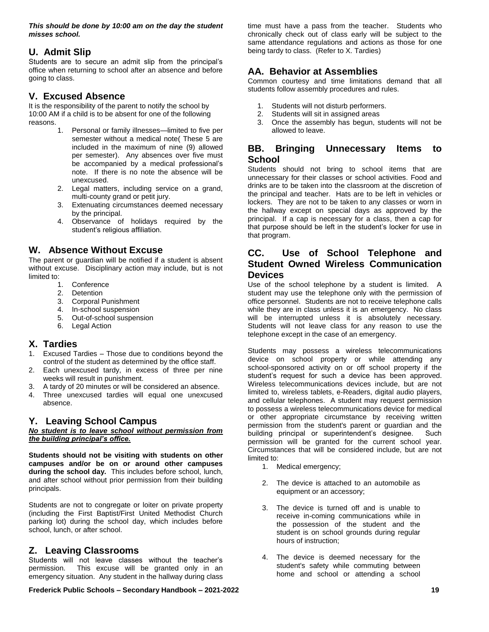*This should be done by 10:00 am on the day the student misses school.*

### **U. Admit Slip**

Students are to secure an admit slip from the principal's office when returning to school after an absence and before going to class.

### **V. Excused Absence**

It is the responsibility of the parent to notify the school by 10:00 AM if a child is to be absent for one of the following reasons.

- 1. Personal or family illnesses—limited to five per semester without a medical note( These 5 are included in the maximum of nine (9) allowed per semester). Any absences over five must be accompanied by a medical professional's note. If there is no note the absence will be unexcused.
- 2. Legal matters, including service on a grand, multi-county grand or petit jury.
- 3. Extenuating circumstances deemed necessary by the principal.
- 4. Observance of holidays required by the student's religious affiliation.

### **W. Absence Without Excuse**

The parent or guardian will be notified if a student is absent without excuse. Disciplinary action may include, but is not limited to:

- **Conference**
- 2. Detention
- 3. Corporal Punishment
- 4. In-school suspension
- 5. Out-of-school suspension
- 6. Legal Action

#### **X. Tardies**

- 1. Excused Tardies Those due to conditions beyond the control of the student as determined by the office staff.
- 2. Each unexcused tardy, in excess of three per nine weeks will result in punishment.
- 3. A tardy of 20 minutes or will be considered an absence.
- 4. Three unexcused tardies will equal one unexcused absence.

#### **Y. Leaving School Campus**

#### *No student is to leave school without permission from the building principal's office.*

**Students should not be visiting with students on other campuses and/or be on or around other campuses during the school day.** This includes before school, lunch, and after school without prior permission from their building principals.

Students are not to congregate or loiter on private property (including the First Baptist/First United Methodist Church parking lot) during the school day, which includes before school, lunch, or after school.

### **Z. Leaving Classrooms**

Students will not leave classes without the teacher's permission. This excuse will be granted only in an emergency situation. Any student in the hallway during class

**Frederick Public Schools – Secondary Handbook – 2021-2022 19**

time must have a pass from the teacher. Students who chronically check out of class early will be subject to the same attendance regulations and actions as those for one being tardy to class. (Refer to X. Tardies)

### **AA. Behavior at Assemblies**

Common courtesy and time limitations demand that all students follow assembly procedures and rules.

- 1. Students will not disturb performers.
- 2. Students will sit in assigned areas
- 3. Once the assembly has begun, students will not be allowed to leave.

### **BB. Bringing Unnecessary Items to School**

Students should not bring to school items that are unnecessary for their classes or school activities. Food and drinks are to be taken into the classroom at the discretion of the principal and teacher. Hats are to be left in vehicles or lockers. They are not to be taken to any classes or worn in the hallway except on special days as approved by the principal. If a cap is necessary for a class, then a cap for that purpose should be left in the student's locker for use in that program.

### **CC. Use of School Telephone and Student Owned Wireless Communication Devices**

Use of the school telephone by a student is limited. A student may use the telephone only with the permission of office personnel. Students are not to receive telephone calls while they are in class unless it is an emergency. No class will be interrupted unless it is absolutely necessary. Students will not leave class for any reason to use the telephone except in the case of an emergency.

Students may possess a wireless telecommunications device on school property or while attending any school-sponsored activity on or off school property if the student's request for such a device has been approved. Wireless telecommunications devices include, but are not limited to, wireless tablets, e-Readers, digital audio players, and cellular telephones. A student may request permission to possess a wireless telecommunications device for medical or other appropriate circumstance by receiving written permission from the student's parent or guardian and the building principal or superintendent's designee. Such permission will be granted for the current school year. Circumstances that will be considered include, but are not limited to:

- 1. Medical emergency;
- 2. The device is attached to an automobile as equipment or an accessory;
- 3. The device is turned off and is unable to receive in-coming communications while in the possession of the student and the student is on school grounds during regular hours of instruction;
- 4. The device is deemed necessary for the student's safety while commuting between home and school or attending a school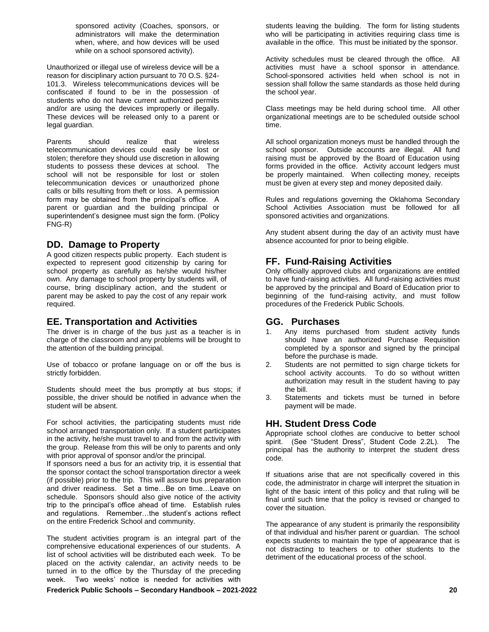sponsored activity (Coaches, sponsors, or administrators will make the determination when, where, and how devices will be used while on a school sponsored activity).

Unauthorized or illegal use of wireless device will be a reason for disciplinary action pursuant to 70 O.S. §24- 101.3. Wireless telecommunications devices will be confiscated if found to be in the possession of students who do not have current authorized permits and/or are using the devices improperly or illegally. These devices will be released only to a parent or legal guardian.

Parents should realize that wireless telecommunication devices could easily be lost or stolen; therefore they should use discretion in allowing students to possess these devices at school. The school will not be responsible for lost or stolen telecommunication devices or unauthorized phone calls or bills resulting from theft or loss. A permission form may be obtained from the principal's office. A parent or guardian and the building principal or superintendent's designee must sign the form. (Policy FNG-R)

### **DD. Damage to Property**

A good citizen respects public property. Each student is expected to represent good citizenship by caring for school property as carefully as he/she would his/her own. Any damage to school property by students will, of course, bring disciplinary action, and the student or parent may be asked to pay the cost of any repair work required.

### **EE. Transportation and Activities**

The driver is in charge of the bus just as a teacher is in charge of the classroom and any problems will be brought to the attention of the building principal.

Use of tobacco or profane language on or off the bus is strictly forbidden.

Students should meet the bus promptly at bus stops; if possible, the driver should be notified in advance when the student will be absent.

For school activities, the participating students must ride school arranged transportation only. If a student participates in the activity, he/she must travel to and from the activity with the group. Release from this will be only to parents and only with prior approval of sponsor and/or the principal.

If sponsors need a bus for an activity trip, it is essential that the sponsor contact the school transportation director a week (if possible) prior to the trip. This will assure bus preparation and driver readiness. Set a time…Be on time…Leave on schedule. Sponsors should also give notice of the activity trip to the principal's office ahead of time. Establish rules and regulations. Remember…the student's actions reflect on the entire Frederick School and community.

The student activities program is an integral part of the comprehensive educational experiences of our students. A list of school activities will be distributed each week. To be placed on the activity calendar, an activity needs to be turned in to the office by the Thursday of the preceding week. Two weeks' notice is needed for activities with students leaving the building. The form for listing students who will be participating in activities requiring class time is available in the office. This must be initiated by the sponsor.

Activity schedules must be cleared through the office. All activities must have a school sponsor in attendance. School-sponsored activities held when school is not in session shall follow the same standards as those held during the school year.

Class meetings may be held during school time. All other organizational meetings are to be scheduled outside school time.

All school organization moneys must be handled through the school sponsor. Outside accounts are illegal. All fund raising must be approved by the Board of Education using forms provided in the office. Activity account ledgers must be properly maintained. When collecting money, receipts must be given at every step and money deposited daily.

Rules and regulations governing the Oklahoma Secondary School Activities Association must be followed for all sponsored activities and organizations.

Any student absent during the day of an activity must have absence accounted for prior to being eligible.

### **FF. Fund-Raising Activities**

Only officially approved clubs and organizations are entitled to have fund-raising activities. All fund-raising activities must be approved by the principal and Board of Education prior to beginning of the fund-raising activity, and must follow procedures of the Frederick Public Schools.

### **GG. Purchases**

- 1. Any items purchased from student activity funds should have an authorized Purchase Requisition completed by a sponsor and signed by the principal before the purchase is made.
- 2. Students are not permitted to sign charge tickets for school activity accounts. To do so without written authorization may result in the student having to pay the bill.
- 3. Statements and tickets must be turned in before payment will be made.

### **HH. Student Dress Code**

Appropriate school clothes are conducive to better school spirit. (See "Student Dress", Student Code 2.2L). The principal has the authority to interpret the student dress code.

If situations arise that are not specifically covered in this code, the administrator in charge will interpret the situation in light of the basic intent of this policy and that ruling will be final until such time that the policy is revised or changed to cover the situation.

The appearance of any student is primarily the responsibility of that individual and his/her parent or guardian. The school expects students to maintain the type of appearance that is not distracting to teachers or to other students to the detriment of the educational process of the school.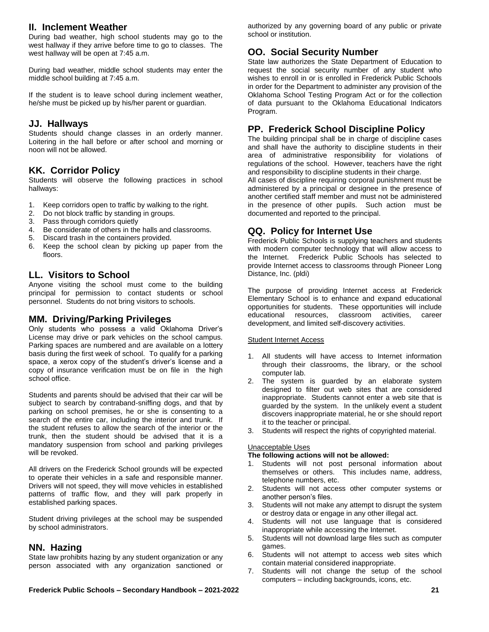### **II. Inclement Weather**

During bad weather, high school students may go to the west hallway if they arrive before time to go to classes. The west hallway will be open at 7:45 a.m.

During bad weather, middle school students may enter the middle school building at 7:45 a.m.

If the student is to leave school during inclement weather, he/she must be picked up by his/her parent or guardian.

### **JJ. Hallways**

Students should change classes in an orderly manner. Loitering in the hall before or after school and morning or noon will not be allowed.

### **KK. Corridor Policy**

Students will observe the following practices in school hallways:

- 1. Keep corridors open to traffic by walking to the right.
- 2. Do not block traffic by standing in groups.
- 3. Pass through corridors quietly
- 4. Be considerate of others in the halls and classrooms.
- 5. Discard trash in the containers provided.
- 6. Keep the school clean by picking up paper from the floors.

### **LL. Visitors to School**

Anyone visiting the school must come to the building principal for permission to contact students or school personnel. Students do not bring visitors to schools.

## **MM. Driving/Parking Privileges**

Only students who possess a valid Oklahoma Driver's License may drive or park vehicles on the school campus. Parking spaces are numbered and are available on a lottery basis during the first week of school. To qualify for a parking space, a xerox copy of the student's driver's license and a copy of insurance verification must be on file in the high school office.

Students and parents should be advised that their car will be subject to search by contraband-sniffing dogs, and that by parking on school premises, he or she is consenting to a search of the entire car, including the interior and trunk. If the student refuses to allow the search of the interior or the trunk, then the student should be advised that it is a mandatory suspension from school and parking privileges will be revoked.

All drivers on the Frederick School grounds will be expected to operate their vehicles in a safe and responsible manner. Drivers will not speed, they will move vehicles in established patterns of traffic flow, and they will park properly in established parking spaces.

Student driving privileges at the school may be suspended by school administrators.

### **NN. Hazing**

State law prohibits hazing by any student organization or any person associated with any organization sanctioned or

**OO. Social Security Number** State law authorizes the State Department of Education to

school or institution.

request the social security number of any student who wishes to enroll in or is enrolled in Frederick Public Schools in order for the Department to administer any provision of the Oklahoma School Testing Program Act or for the collection of data pursuant to the Oklahoma Educational Indicators Program.

authorized by any governing board of any public or private

### **PP. Frederick School Discipline Policy**

The building principal shall be in charge of discipline cases and shall have the authority to discipline students in their area of administrative responsibility for violations of regulations of the school. However, teachers have the right and responsibility to discipline students in their charge.

All cases of discipline requiring corporal punishment must be administered by a principal or designee in the presence of another certified staff member and must not be administered in the presence of other pupils. Such action must be documented and reported to the principal.

### **QQ. Policy for Internet Use**

Frederick Public Schools is supplying teachers and students with modern computer technology that will allow access to the Internet. Frederick Public Schools has selected to provide Internet access to classrooms through Pioneer Long Distance, Inc. (pldi)

The purpose of providing Internet access at Frederick Elementary School is to enhance and expand educational opportunities for students. These opportunities will include educational resources, classroom activities, career development, and limited self-discovery activities.

#### Student Internet Access

- 1. All students will have access to Internet information through their classrooms, the library, or the school computer lab.
- 2. The system is guarded by an elaborate system designed to filter out web sites that are considered inappropriate. Students cannot enter a web site that is guarded by the system. In the unlikely event a student discovers inappropriate material, he or she should report it to the teacher or principal.
- 3. Students will respect the rights of copyrighted material.

#### Unacceptable Uses

#### **The following actions will not be allowed:**

- 1. Students will not post personal information about themselves or others. This includes name, address, telephone numbers, etc.
- 2. Students will not access other computer systems or another person's files.
- 3. Students will not make any attempt to disrupt the system or destroy data or engage in any other illegal act.
- 4. Students will not use language that is considered inappropriate while accessing the Internet.
- 5. Students will not download large files such as computer games.
- 6. Students will not attempt to access web sites which contain material considered inappropriate.
- 7. Students will not change the setup of the school computers – including backgrounds, icons, etc.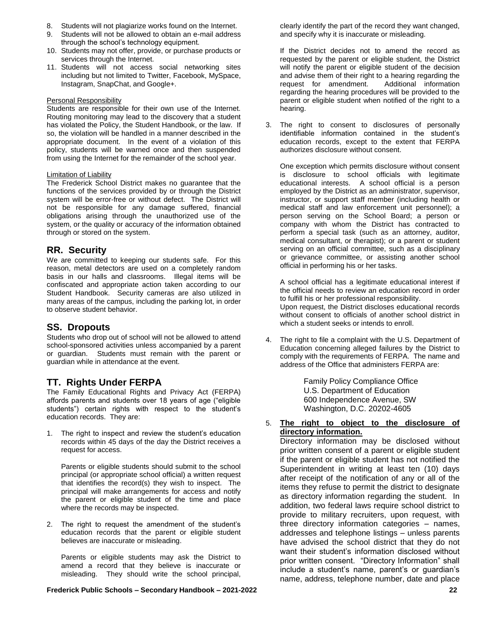- 8. Students will not plagiarize works found on the Internet.
- 9. Students will not be allowed to obtain an e-mail address through the school's technology equipment.
- 10. Students may not offer, provide, or purchase products or services through the Internet.
- 11. Students will not access social networking sites including but not limited to Twitter, Facebook, MySpace, Instagram, SnapChat, and Google+.

#### Personal Responsibility

Students are responsible for their own use of the Internet. Routing monitoring may lead to the discovery that a student has violated the Policy, the Student Handbook, or the law. If so, the violation will be handled in a manner described in the appropriate document. In the event of a violation of this policy, students will be warned once and then suspended from using the Internet for the remainder of the school year.

#### Limitation of Liability

The Frederick School District makes no guarantee that the functions of the services provided by or through the District system will be error-free or without defect. The District will not be responsible for any damage suffered, financial obligations arising through the unauthorized use of the system, or the quality or accuracy of the information obtained through or stored on the system.

#### **RR. Security**

We are committed to keeping our students safe. For this reason, metal detectors are used on a completely random basis in our halls and classrooms. Illegal items will be confiscated and appropriate action taken according to our Student Handbook. Security cameras are also utilized in many areas of the campus, including the parking lot, in order to observe student behavior.

### **SS. Dropouts**

Students who drop out of school will not be allowed to attend school-sponsored activities unless accompanied by a parent or guardian. Students must remain with the parent or guardian while in attendance at the event.

### **TT. Rights Under FERPA**

The Family Educational Rights and Privacy Act (FERPA) affords parents and students over 18 years of age ("eligible students") certain rights with respect to the student's education records. They are:

1. The right to inspect and review the student's education records within 45 days of the day the District receives a request for access.

Parents or eligible students should submit to the school principal (or appropriate school official) a written request that identifies the record(s) they wish to inspect. The principal will make arrangements for access and notify the parent or eligible student of the time and place where the records may be inspected.

2. The right to request the amendment of the student's education records that the parent or eligible student believes are inaccurate or misleading.

Parents or eligible students may ask the District to amend a record that they believe is inaccurate or misleading. They should write the school principal, clearly identify the part of the record they want changed, and specify why it is inaccurate or misleading.

If the District decides not to amend the record as requested by the parent or eligible student, the District will notify the parent or eligible student of the decision and advise them of their right to a hearing regarding the request for amendment. Additional information regarding the hearing procedures will be provided to the parent or eligible student when notified of the right to a hearing.

3. The right to consent to disclosures of personally identifiable information contained in the student's education records, except to the extent that FERPA authorizes disclosure without consent.

One exception which permits disclosure without consent is disclosure to school officials with legitimate educational interests. A school official is a person employed by the District as an administrator, supervisor, instructor, or support staff member (including health or medical staff and law enforcement unit personnel); a person serving on the School Board; a person or company with whom the District has contracted to perform a special task (such as an attorney, auditor, medical consultant, or therapist); or a parent or student serving on an official committee, such as a disciplinary or grievance committee, or assisting another school official in performing his or her tasks.

A school official has a legitimate educational interest if the official needs to review an education record in order to fulfill his or her professional responsibility. Upon request, the District discloses educational records without consent to officials of another school district in which a student seeks or intends to enroll.

4. The right to file a complaint with the U.S. Department of Education concerning alleged failures by the District to comply with the requirements of FERPA. The name and address of the Office that administers FERPA are:

> Family Policy Compliance Office U.S. Department of Education 600 Independence Avenue, SW Washington, D.C. 20202-4605

#### 5. **The right to object to the disclosure of directory information.**

Directory information may be disclosed without prior written consent of a parent or eligible student if the parent or eligible student has not notified the Superintendent in writing at least ten (10) days after receipt of the notification of any or all of the items they refuse to permit the district to designate as directory information regarding the student. In addition, two federal laws require school district to provide to military recruiters, upon request, with three directory information categories – names, addresses and telephone listings – unless parents have advised the school district that they do not want their student's information disclosed without prior written consent. "Directory Information" shall include a student's name, parent's or guardian's name, address, telephone number, date and place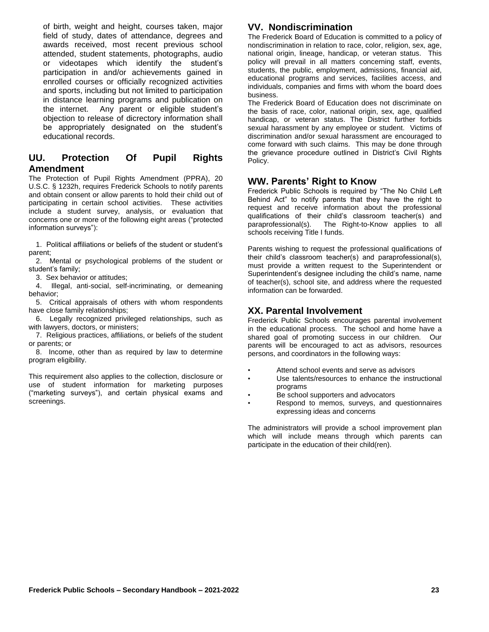of birth, weight and height, courses taken, major field of study, dates of attendance, degrees and awards received, most recent previous school attended, student statements, photographs, audio videotapes which identify the student's participation in and/or achievements gained in enrolled courses or officially recognized activities and sports, including but not limited to participation in distance learning programs and publication on the internet. Any parent or eligible student's objection to release of dicrectory information shall be appropriately designated on the student's educational records.

### **UU. Protection Of Pupil Rights Amendment**

The Protection of Pupil Rights Amendment (PPRA), 20 U.S.C. § 1232h, requires Frederick Schools to notify parents and obtain consent or allow parents to hold their child out of participating in certain school activities. These activities include a student survey, analysis, or evaluation that concerns one or more of the following eight areas ("protected information surveys"):

1. Political affiliations or beliefs of the student or student's parent;

2. Mental or psychological problems of the student or student's family;

3. Sex behavior or attitudes;

4. Illegal, anti-social, self-incriminating, or demeaning behavior;

5. Critical appraisals of others with whom respondents have close family relationships;

6. Legally recognized privileged relationships, such as with lawyers, doctors, or ministers;

7. Religious practices, affiliations, or beliefs of the student or parents; or

8. Income, other than as required by law to determine program eligibility.

This requirement also applies to the collection, disclosure or use of student information for marketing purposes ("marketing surveys"), and certain physical exams and screenings.

# **VV. Nondiscrimination**

The Frederick Board of Education is committed to a policy of nondiscrimination in relation to race, color, religion, sex, age, national origin, lineage, handicap, or veteran status. This policy will prevail in all matters concerning staff, events, students, the public, employment, admissions, financial aid, educational programs and services, facilities access, and individuals, companies and firms with whom the board does business.

The Frederick Board of Education does not discriminate on the basis of race, color, national origin, sex, age, qualified handicap, or veteran status. The District further forbids sexual harassment by any employee or student. Victims of discrimination and/or sexual harassment are encouraged to come forward with such claims. This may be done through the grievance procedure outlined in District's Civil Rights Policy.

### **WW. Parents' Right to Know**

Frederick Public Schools is required by "The No Child Left Behind Act" to notify parents that they have the right to request and receive information about the professional qualifications of their child's classroom teacher(s) and paraprofessional(s). The Right-to-Know applies to all schools receiving Title I funds.

Parents wishing to request the professional qualifications of their child's classroom teacher(s) and paraprofessional(s), must provide a written request to the Superintendent or Superintendent's designee including the child's name, name of teacher(s), school site, and address where the requested information can be forwarded.

# **XX. Parental Involvement**

Frederick Public Schools encourages parental involvement in the educational process. The school and home have a shared goal of promoting success in our children. Our parents will be encouraged to act as advisors, resources persons, and coordinators in the following ways:

- Attend school events and serve as advisors
- Use talents/resources to enhance the instructional programs
- Be school supporters and advocators
- Respond to memos, surveys, and questionnaires expressing ideas and concerns

The administrators will provide a school improvement plan which will include means through which parents can participate in the education of their child(ren).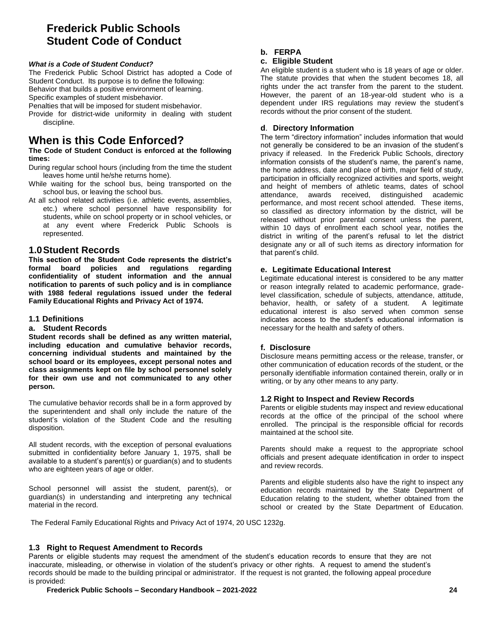# **Frederick Public Schools Student Code of Conduct**

#### *What is a Code of Student Conduct?*

The Frederick Public School District has adopted a Code of Student Conduct. Its purpose is to define the following: Behavior that builds a positive environment of learning.

Specific examples of student misbehavior.

Penalties that will be imposed for student misbehavior.

Provide for district-wide uniformity in dealing with student discipline.

# **When is this Code Enforced?**

#### **The Code of Student Conduct is enforced at the following times:**

- During regular school hours (including from the time the student leaves home until he/she returns home).
- While waiting for the school bus, being transported on the school bus, or leaving the school bus.
- At all school related activities (i.e. athletic events, assemblies, etc.) where school personnel have responsibility for students, while on school property or in school vehicles, or at any event where Frederick Public Schools is represented.

### **1.0Student Records**

**This section of the Student Code represents the district's formal board policies and regulations regarding confidentiality of student information and the annual notification to parents of such policy and is in compliance with 1988 federal regulations issued under the federal Family Educational Rights and Privacy Act of 1974.** 

#### **1.1 Definitions**

#### **a. Student Records**

**Student records shall be defined as any written material, including education and cumulative behavior records, concerning individual students and maintained by the school board or its employees, except personal notes and class assignments kept on file by school personnel solely for their own use and not communicated to any other person.** 

The cumulative behavior records shall be in a form approved by the superintendent and shall only include the nature of the student's violation of the Student Code and the resulting disposition.

All student records, with the exception of personal evaluations submitted in confidentiality before January 1, 1975, shall be available to a student's parent(s) or guardian(s) and to students who are eighteen years of age or older.

School personnel will assist the student, parent(s), or guardian(s) in understanding and interpreting any technical material in the record.

#### **b. FERPA**

#### **c. Eligible Student**

An eligible student is a student who is 18 years of age or older. The statute provides that when the student becomes 18, all rights under the act transfer from the parent to the student. However, the parent of an 18-year-old student who is a dependent under IRS regulations may review the student's records without the prior consent of the student.

#### **d**. **Directory Information**

The term "directory information" includes information that would not generally be considered to be an invasion of the student's privacy if released. In the Frederick Public Schools, directory information consists of the student's name, the parent's name, the home address, date and place of birth, major field of study, participation in officially recognized activities and sports, weight and height of members of athletic teams, dates of school attendance, awards received, distinguished academic performance, and most recent school attended. These items, so classified as directory information by the district, will be released without prior parental consent unless the parent, within 10 days of enrollment each school year, notifies the district in writing of the parent's refusal to let the district designate any or all of such items as directory information for that parent's child.

#### **e. Legitimate Educational Interest**

Legitimate educational interest is considered to be any matter or reason integrally related to academic performance, gradelevel classification, schedule of subjects, attendance, attitude, behavior, health, or safety of a student. A legitimate educational interest is also served when common sense indicates access to the student's educational information is necessary for the health and safety of others.

#### **f. Disclosure**

Disclosure means permitting access or the release, transfer, or other communication of education records of the student, or the personally identifiable information contained therein, orally or in writing, or by any other means to any party.

#### **1.2 Right to Inspect and Review Records**

Parents or eligible students may inspect and review educational records at the office of the principal of the school where enrolled. The principal is the responsible official for records maintained at the school site.

Parents should make a request to the appropriate school officials and present adequate identification in order to inspect and review records.

Parents and eligible students also have the right to inspect any education records maintained by the State Department of Education relating to the student, whether obtained from the school or created by the State Department of Education.

The Federal Family Educational Rights and Privacy Act of 1974, 20 USC 1232g.

#### **1.3 Right to Request Amendment to Records**

Parents or eligible students may request the amendment of the student's education records to ensure that they are not inaccurate, misleading, or otherwise in violation of the student's privacy or other rights. A request to amend the student's records should be made to the building principal or administrator. If the request is not granted, the following appeal procedure is provided: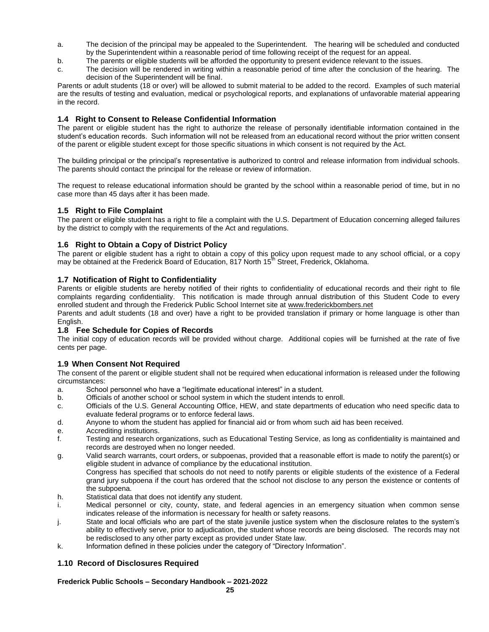- a. The decision of the principal may be appealed to the Superintendent. The hearing will be scheduled and conducted by the Superintendent within a reasonable period of time following receipt of the request for an appeal.
- b. The parents or eligible students will be afforded the opportunity to present evidence relevant to the issues.
- c. The decision will be rendered in writing within a reasonable period of time after the conclusion of the hearing. The decision of the Superintendent will be final.

Parents or adult students (18 or over) will be allowed to submit material to be added to the record. Examples of such material are the results of testing and evaluation, medical or psychological reports, and explanations of unfavorable material appearing in the record.

#### **1.4 Right to Consent to Release Confidential Information**

The parent or eligible student has the right to authorize the release of personally identifiable information contained in the student's education records. Such information will not be released from an educational record without the prior written consent of the parent or eligible student except for those specific situations in which consent is not required by the Act.

The building principal or the principal's representative is authorized to control and release information from individual schools. The parents should contact the principal for the release or review of information.

The request to release educational information should be granted by the school within a reasonable period of time, but in no case more than 45 days after it has been made.

#### **1.5 Right to File Complaint**

The parent or eligible student has a right to file a complaint with the U.S. Department of Education concerning alleged failures by the district to comply with the requirements of the Act and regulations.

#### **1.6 Right to Obtain a Copy of District Policy**

The parent or eligible student has a right to obtain a copy of this policy upon request made to any school official, or a copy may be obtained at the Frederick Board of Education, 817 North  $15<sup>th</sup>$  Street, Frederick, Oklahoma.

#### **1.7 Notification of Right to Confidentiality**

Parents or eligible students are hereby notified of their rights to confidentiality of educational records and their right to file complaints regarding confidentiality. This notification is made through annual distribution of this Student Code to every enrolled student and through the Frederick Public School Internet site a[t www.frederickbombers.net](http://www.frederickps.k12.ok.us/)

Parents and adult students (18 and over) have a right to be provided translation if primary or home language is other than English.

#### **1.8 Fee Schedule for Copies of Records**

The initial copy of education records will be provided without charge. Additional copies will be furnished at the rate of five cents per page.

#### **1.9 When Consent Not Required**

The consent of the parent or eligible student shall not be required when educational information is released under the following circumstances:

- a. School personnel who have a "legitimate educational interest" in a student.
- b. Officials of another school or school system in which the student intends to enroll.
- c. Officials of the U.S. General Accounting Office, HEW, and state departments of education who need specific data to evaluate federal programs or to enforce federal laws.
- d. Anyone to whom the student has applied for financial aid or from whom such aid has been received.
- e. Accrediting institutions.
- f. Testing and research organizations, such as Educational Testing Service, as long as confidentiality is maintained and records are destroyed when no longer needed.
- g. Valid search warrants, court orders, or subpoenas, provided that a reasonable effort is made to notify the parent(s) or eligible student in advance of compliance by the educational institution.

Congress has specified that schools do not need to notify parents or eligible students of the existence of a Federal grand jury subpoena if the court has ordered that the school not disclose to any person the existence or contents of the subpoena.

- h. Statistical data that does not identify any student.
- i. Medical personnel or city, county, state, and federal agencies in an emergency situation when common sense indicates release of the information is necessary for health or safety reasons.
- j. State and local officials who are part of the state juvenile justice system when the disclosure relates to the system's ability to effectively serve, prior to adjudication, the student whose records are being disclosed. The records may not be redisclosed to any other party except as provided under State law.
- k. Information defined in these policies under the category of "Directory Information".

#### **1.10 Record of Disclosures Required**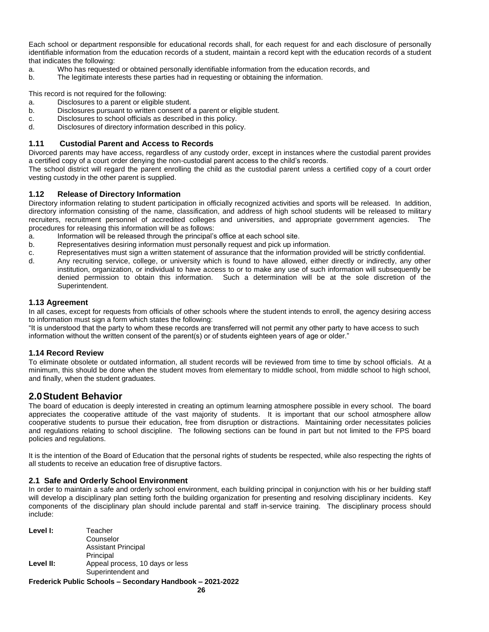Each school or department responsible for educational records shall, for each request for and each disclosure of personally identifiable information from the education records of a student, maintain a record kept with the education records of a student that indicates the following:

- a. Who has requested or obtained personally identifiable information from the education records, and
- b. The legitimate interests these parties had in requesting or obtaining the information.

This record is not required for the following:

- a. Disclosures to a parent or eligible student.
- b. Disclosures pursuant to written consent of a parent or eligible student.
- c. Disclosures to school officials as described in this policy.
- d. Disclosures of directory information described in this policy.

#### **1.11 Custodial Parent and Access to Records**

Divorced parents may have access, regardless of any custody order, except in instances where the custodial parent provides a certified copy of a court order denying the non-custodial parent access to the child's records.

The school district will regard the parent enrolling the child as the custodial parent unless a certified copy of a court order vesting custody in the other parent is supplied.

#### **1.12 Release of Directory Information**

Directory information relating to student participation in officially recognized activities and sports will be released. In addition, directory information consisting of the name, classification, and address of high school students will be released to military recruiters, recruitment personnel of accredited colleges and universities, and appropriate government agencies. The procedures for releasing this information will be as follows:

- a. Information will be released through the principal's office at each school site.
- b. Representatives desiring information must personally request and pick up information.
- c. Representatives must sign a written statement of assurance that the information provided will be strictly confidential.
- d. Any recruiting service, college, or university which is found to have allowed, either directly or indirectly, any other institution, organization, or individual to have access to or to make any use of such information will subsequently be denied permission to obtain this information. Such a determination will be at the sole discretion of the Superintendent.

#### **1.13 Agreement**

In all cases, except for requests from officials of other schools where the student intends to enroll, the agency desiring access to information must sign a form which states the following:

"It is understood that the party to whom these records are transferred will not permit any other party to have access to such information without the written consent of the parent(s) or of students eighteen years of age or older."

#### **1.14 Record Review**

To eliminate obsolete or outdated information, all student records will be reviewed from time to time by school officials. At a minimum, this should be done when the student moves from elementary to middle school, from middle school to high school, and finally, when the student graduates.

#### **2.0Student Behavior**

The board of education is deeply interested in creating an optimum learning atmosphere possible in every school. The board appreciates the cooperative attitude of the vast majority of students. It is important that our school atmosphere allow cooperative students to pursue their education, free from disruption or distractions. Maintaining order necessitates policies and regulations relating to school discipline. The following sections can be found in part but not limited to the FPS board policies and regulations.

It is the intention of the Board of Education that the personal rights of students be respected, while also respecting the rights of all students to receive an education free of disruptive factors.

#### **2.1 Safe and Orderly School Environment**

In order to maintain a safe and orderly school environment, each building principal in conjunction with his or her building staff will develop a disciplinary plan setting forth the building organization for presenting and resolving disciplinary incidents. Key components of the disciplinary plan should include parental and staff in-service training. The disciplinary process should include:

**Frederick Public Schools – Secondary Handbook – 2021-2022 Level I:** Teacher Counselor Assistant Principal Principal Level II: Appeal process, 10 days or less Superintendent and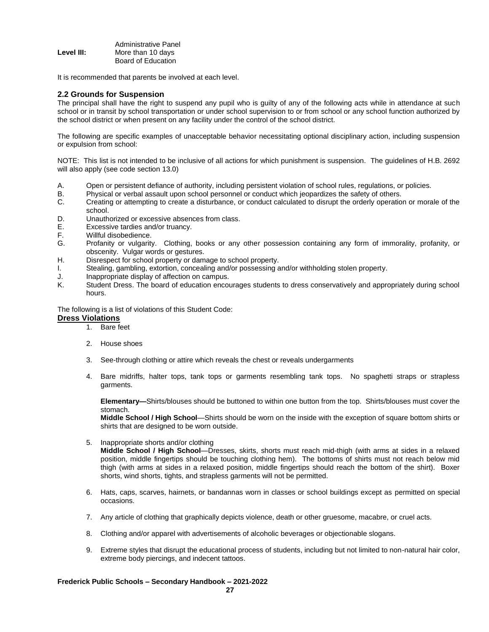|            | Administrative Panel |  |
|------------|----------------------|--|
| Level III: | More than 10 days    |  |
|            | Board of Education   |  |

It is recommended that parents be involved at each level.

#### **2.2 Grounds for Suspension**

The principal shall have the right to suspend any pupil who is guilty of any of the following acts while in attendance at such school or in transit by school transportation or under school supervision to or from school or any school function authorized by the school district or when present on any facility under the control of the school district.

The following are specific examples of unacceptable behavior necessitating optional disciplinary action, including suspension or expulsion from school:

NOTE: This list is not intended to be inclusive of all actions for which punishment is suspension. The guidelines of H.B. 2692 will also apply (see code section 13.0)

- A. Open or persistent defiance of authority, including persistent violation of school rules, regulations, or policies.
- B. Physical or verbal assault upon school personnel or conduct which jeopardizes the safety of others.
- C. Creating or attempting to create a disturbance, or conduct calculated to disrupt the orderly operation or morale of the school.
- D. Unauthorized or excessive absences from class.
- E. Excessive tardies and/or truancy.
- F. Willful disobedience.
- G. Profanity or vulgarity. Clothing, books or any other possession containing any form of immorality, profanity, or obscenity. Vulgar words or gestures.
- H. Disrespect for school property or damage to school property.
- I. Stealing, gambling, extortion, concealing and/or possessing and/or withholding stolen property.
- J. Inappropriate display of affection on campus.<br>K. Student Dress. The board of education encor
- Student Dress. The board of education encourages students to dress conservatively and appropriately during school hours.

The following is a list of violations of this Student Code:

#### **Dress Violations**

- 1. Bare feet
- 2. House shoes
- 3. See-through clothing or attire which reveals the chest or reveals undergarments
- 4. Bare midriffs, halter tops, tank tops or garments resembling tank tops. No spaghetti straps or strapless garments.

**Elementary—**Shirts/blouses should be buttoned to within one button from the top. Shirts/blouses must cover the stomach.

**Middle School / High School**—Shirts should be worn on the inside with the exception of square bottom shirts or shirts that are designed to be worn outside.

5. Inappropriate shorts and/or clothing

**Middle School / High School**—Dresses, skirts, shorts must reach mid-thigh (with arms at sides in a relaxed position, middle fingertips should be touching clothing hem). The bottoms of shirts must not reach below mid thigh (with arms at sides in a relaxed position, middle fingertips should reach the bottom of the shirt). Boxer shorts, wind shorts, tights, and strapless garments will not be permitted.

- 6. Hats, caps, scarves, hairnets, or bandannas worn in classes or school buildings except as permitted on special occasions.
- 7. Any article of clothing that graphically depicts violence, death or other gruesome, macabre, or cruel acts.
- 8. Clothing and/or apparel with advertisements of alcoholic beverages or objectionable slogans.
- 9. Extreme styles that disrupt the educational process of students, including but not limited to non-natural hair color, extreme body piercings, and indecent tattoos.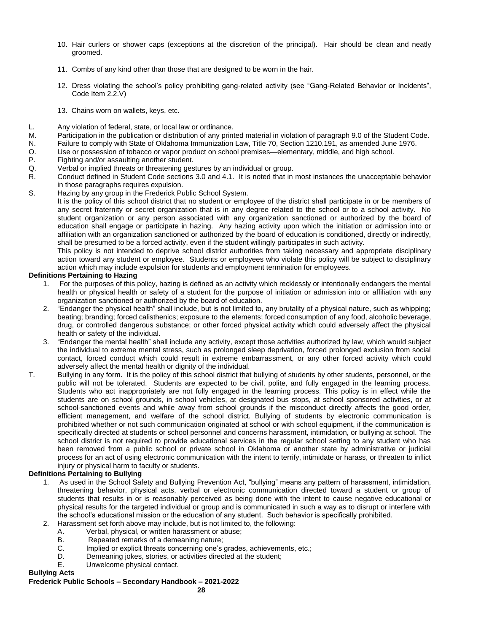- 10. Hair curlers or shower caps (exceptions at the discretion of the principal). Hair should be clean and neatly groomed.
- 11. Combs of any kind other than those that are designed to be worn in the hair.
- 12. Dress violating the school's policy prohibiting gang-related activity (see "Gang-Related Behavior or Incidents", Code Item 2.2.V)
- 13. Chains worn on wallets, keys, etc.
- L. Any violation of federal, state, or local law or ordinance.
- M. Participation in the publication or distribution of any printed material in violation of paragraph 9.0 of the Student Code.
- N. Failure to comply with State of Oklahoma Immunization Law, Title 70, Section 1210.191, as amended June 1976.
- O. Use or possession of tobacco or vapor product on school premises—elementary, middle, and high school.
- P. Fighting and/or assaulting another student.
- Q. Verbal or implied threats or threatening gestures by an individual or group.
- R. Conduct defined in Student Code sections 3.0 and 4.1. It is noted that in most instances the unacceptable behavior in those paragraphs requires expulsion.
- S. Hazing by any group in the Frederick Public School System.

It is the policy of this school district that no student or employee of the district shall participate in or be members of any secret fraternity or secret organization that is in any degree related to the school or to a school activity. No student organization or any person associated with any organization sanctioned or authorized by the board of education shall engage or participate in hazing. Any hazing activity upon which the initiation or admission into or affiliation with an organization sanctioned or authorized by the board of education is conditioned, directly or indirectly, shall be presumed to be a forced activity, even if the student willingly participates in such activity.

This policy is not intended to deprive school district authorities from taking necessary and appropriate disciplinary action toward any student or employee. Students or employees who violate this policy will be subject to disciplinary action which may include expulsion for students and employment termination for employees.

#### **Definitions Pertaining to Hazing**

- 1. For the purposes of this policy, hazing is defined as an activity which recklessly or intentionally endangers the mental health or physical health or safety of a student for the purpose of initiation or admission into or affiliation with any organization sanctioned or authorized by the board of education.
- 2. "Endanger the physical health" shall include, but is not limited to, any brutality of a physical nature, such as whipping; beating; branding; forced calisthenics; exposure to the elements; forced consumption of any food, alcoholic beverage, drug, or controlled dangerous substance; or other forced physical activity which could adversely affect the physical health or safety of the individual.
- 3. "Endanger the mental health" shall include any activity, except those activities authorized by law, which would subject the individual to extreme mental stress, such as prolonged sleep deprivation, forced prolonged exclusion from social contact, forced conduct which could result in extreme embarrassment, or any other forced activity which could adversely affect the mental health or dignity of the individual.
- T. Bullying in any form. It is the policy of this school district that bullying of students by other students, personnel, or the public will not be tolerated. Students are expected to be civil, polite, and fully engaged in the learning process. Students who act inappropriately are not fully engaged in the learning process. This policy is in effect while the students are on school grounds, in school vehicles, at designated bus stops, at school sponsored activities, or at school-sanctioned events and while away from school grounds if the misconduct directly affects the good order, efficient management, and welfare of the school district. Bullying of students by electronic communication is prohibited whether or not such communication originated at school or with school equipment, if the communication is specifically directed at students or school personnel and concerns harassment, intimidation, or bullying at school. The school district is not required to provide educational services in the regular school setting to any student who has been removed from a public school or private school in Oklahoma or another state by administrative or judicial process for an act of using electronic communication with the intent to terrify, intimidate or harass, or threaten to inflict injury or physical harm to faculty or students.

### **Definitions Pertaining to Bullying**

- 1. As used in the School Safety and Bullying Prevention Act, "bullying" means any pattern of harassment, intimidation, threatening behavior, physical acts, verbal or electronic communication directed toward a student or group of students that results in or is reasonably perceived as being done with the intent to cause negative educational or physical results for the targeted individual or group and is communicated in such a way as to disrupt or interfere with the school's educational mission or the education of any student. Such behavior is specifically prohibited.
- 2. Harassment set forth above may include, but is not limited to, the following:
	- A. Verbal, physical, or written harassment or abuse;
	- B. Repeated remarks of a demeaning nature;
	- C. Implied or explicit threats concerning one's grades, achievements, etc.;
	- D. Demeaning jokes, stories, or activities directed at the student;
	- E. Unwelcome physical contact.

#### **Bullying Acts**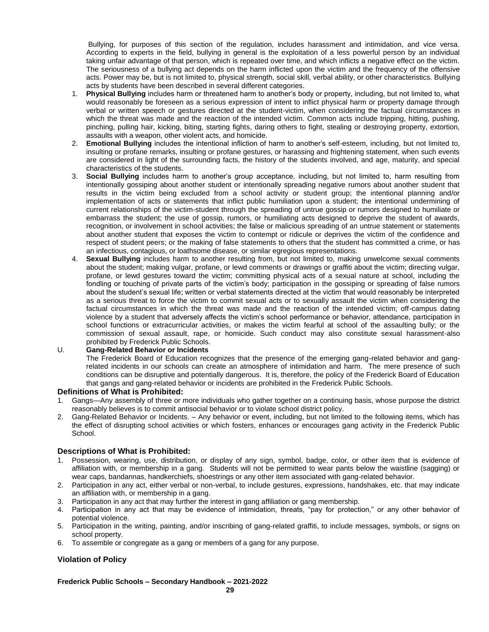Bullying, for purposes of this section of the regulation, includes harassment and intimidation, and vice versa. According to experts in the field, bullying in general is the exploitation of a less powerful person by an individual taking unfair advantage of that person, which is repeated over time, and which inflicts a negative effect on the victim. The seriousness of a bullying act depends on the harm inflicted upon the victim and the frequency of the offensive acts. Power may be, but is not limited to, physical strength, social skill, verbal ability, or other characteristics. Bullying acts by students have been described in several different categories.

- 1. **Physical Bullying** includes harm or threatened harm to another's body or property, including, but not limited to, what would reasonably be foreseen as a serious expression of intent to inflict physical harm or property damage through verbal or written speech or gestures directed at the student-victim, when considering the factual circumstances in which the threat was made and the reaction of the intended victim. Common acts include tripping, hitting, pushing, pinching, pulling hair, kicking, biting, starting fights, daring others to fight, stealing or destroying property, extortion, assaults with a weapon, other violent acts, and homicide.
- 2. **Emotional Bullying** includes the intentional infliction of harm to another's self-esteem, including, but not limited to, insulting or profane remarks, insulting or profane gestures, or harassing and frightening statement, when such events are considered in light of the surrounding facts, the history of the students involved, and age, maturity, and special characteristics of the students.
- 3. **Social Bullying** includes harm to another's group acceptance, including, but not limited to, harm resulting from intentionally gossiping about another student or intentionally spreading negative rumors about another student that results in the victim being excluded from a school activity or student group; the intentional planning and/or implementation of acts or statements that inflict public humiliation upon a student; the intentional undermining of current relationships of the victim-student through the spreading of untrue gossip or rumors designed to humiliate or embarrass the student; the use of gossip, rumors, or humiliating acts designed to deprive the student of awards, recognition, or involvement in school activities; the false or malicious spreading of an untrue statement or statements about another student that exposes the victim to contempt or ridicule or deprives the victim of the confidence and respect of student peers; or the making of false statements to others that the student has committed a crime, or has an infectious, contagious, or loathsome disease, or similar egregious representations.
- Sexual Bullying includes harm to another resulting from, but not limited to, making unwelcome sexual comments about the student; making vulgar, profane, or lewd comments or drawings or graffiti about the victim; directing vulgar, profane, or lewd gestures toward the victim; committing physical acts of a sexual nature at school, including the fondling or touching of private parts of the victim's body; participation in the gossiping or spreading of false rumors about the student's sexual life; written or verbal statements directed at the victim that would reasonably be interpreted as a serious threat to force the victim to commit sexual acts or to sexually assault the victim when considering the factual circumstances in which the threat was made and the reaction of the intended victim; off-campus dating violence by a student that adversely affects the victim's school performance or behavior, attendance, participation in school functions or extracurricular activities, or makes the victim fearful at school of the assaulting bully; or the commission of sexual assault, rape, or homicide. Such conduct may also constitute sexual harassment-also prohibited by Frederick Public Schools.

#### U. **Gang-Related Behavior or Incidents**

The Frederick Board of Education recognizes that the presence of the emerging gang-related behavior and gangrelated incidents in our schools can create an atmosphere of intimidation and harm. The mere presence of such conditions can be disruptive and potentially dangerous. It is, therefore, the policy of the Frederick Board of Education that gangs and gang-related behavior or incidents are prohibited in the Frederick Public Schools.

#### **Definitions of What is Prohibited:**

- 1. Gangs—Any assembly of three or more individuals who gather together on a continuing basis, whose purpose the district reasonably believes is to commit antisocial behavior or to violate school district policy.
- 2. Gang-Related Behavior or Incidents. Any behavior or event, including, but not limited to the following items, which has the effect of disrupting school activities or which fosters, enhances or encourages gang activity in the Frederick Public School.

#### **Descriptions of What is Prohibited:**

- 1. Possession, wearing, use, distribution, or display of any sign, symbol, badge, color, or other item that is evidence of affiliation with, or membership in a gang. Students will not be permitted to wear pants below the waistline (sagging) or wear caps, bandannas, handkerchiefs, shoestrings or any other item associated with gang-related behavior.
- 2. Participation in any act, either verbal or non-verbal, to include gestures, expressions, handshakes, etc. that may indicate an affiliation with, or membership in a gang.
- 3. Participation in any act that may further the interest in gang affiliation or gang membership.
- 4. Participation in any act that may be evidence of intimidation, threats, "pay for protection," or any other behavior of potential violence.
- 5. Participation in the writing, painting, and/or inscribing of gang-related graffiti, to include messages, symbols, or signs on school property.
- 6. To assemble or congregate as a gang or members of a gang for any purpose.

#### **Violation of Policy**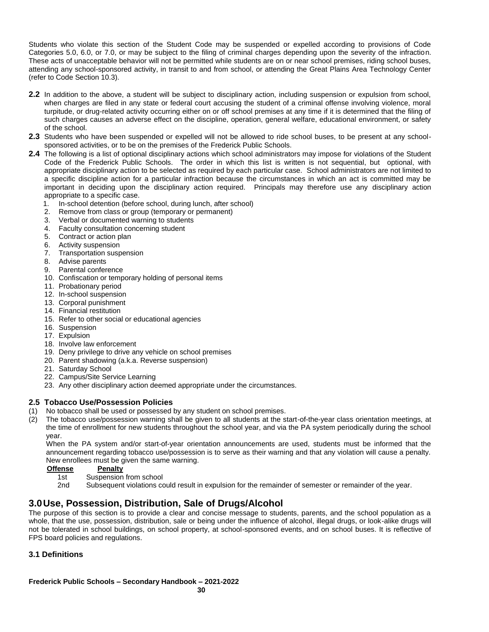Students who violate this section of the Student Code may be suspended or expelled according to provisions of Code Categories 5.0, 6.0, or 7.0, or may be subject to the filing of criminal charges depending upon the severity of the infraction. These acts of unacceptable behavior will not be permitted while students are on or near school premises, riding school buses, attending any school-sponsored activity, in transit to and from school, or attending the Great Plains Area Technology Center (refer to Code Section 10.3).

- **2.2** In addition to the above, a student will be subject to disciplinary action, including suspension or expulsion from school, when charges are filed in any state or federal court accusing the student of a criminal offense involving violence, moral turpitude, or drug-related activity occurring either on or off school premises at any time if it is determined that the filing of such charges causes an adverse effect on the discipline, operation, general welfare, educational environment, or safety of the school.
- **2.3** Students who have been suspended or expelled will not be allowed to ride school buses, to be present at any schoolsponsored activities, or to be on the premises of the Frederick Public Schools.
- **2.4** The following is a list of optional disciplinary actions which school administrators may impose for violations of the Student Code of the Frederick Public Schools. The order in which this list is written is not sequential, but optional, with appropriate disciplinary action to be selected as required by each particular case. School administrators are not limited to a specific discipline action for a particular infraction because the circumstances in which an act is committed may be important in deciding upon the disciplinary action required. Principals may therefore use any disciplinary action appropriate to a specific case.
	- 1. In-school detention (before school, during lunch, after school)
	- 2. Remove from class or group (temporary or permanent)
	- 3. Verbal or documented warning to students
	- 4. Faculty consultation concerning student
	- 5. Contract or action plan
	- 6. Activity suspension
	- 7. Transportation suspension
	- 8. Advise parents
	- 9. Parental conference
	- 10. Confiscation or temporary holding of personal items
	- 11. Probationary period
	- 12. In-school suspension
	- 13. Corporal punishment
	- 14. Financial restitution
	- 15. Refer to other social or educational agencies
	- 16. Suspension
	- 17. Expulsion
	- 18. Involve law enforcement
	- 19. Deny privilege to drive any vehicle on school premises
	- 20. Parent shadowing (a.k.a. Reverse suspension)
	- 21. Saturday School
	- 22. Campus/Site Service Learning
	- 23. Any other disciplinary action deemed appropriate under the circumstances.

### **2.5 Tobacco Use/Possession Policies**

- (1) No tobacco shall be used or possessed by any student on school premises.
- (2) The tobacco use/possession warning shall be given to all students at the start-of-the-year class orientation meetings, at the time of enrollment for new students throughout the school year, and via the PA system periodically during the school year.

When the PA system and/or start-of-year orientation announcements are used, students must be informed that the announcement regarding tobacco use/possession is to serve as their warning and that any violation will cause a penalty. New enrollees must be given the same warning.<br>Offense Penalty

- **Offense** 
	- 1st Suspension from school
	- 2nd Subsequent violations could result in expulsion for the remainder of semester or remainder of the year.

# **3.0Use, Possession, Distribution, Sale of Drugs/Alcohol**

The purpose of this section is to provide a clear and concise message to students, parents, and the school population as a whole, that the use, possession, distribution, sale or being under the influence of alcohol, illegal drugs, or look-alike drugs will not be tolerated in school buildings, on school property, at school-sponsored events, and on school buses. It is reflective of FPS board policies and regulations.

### **3.1 Definitions**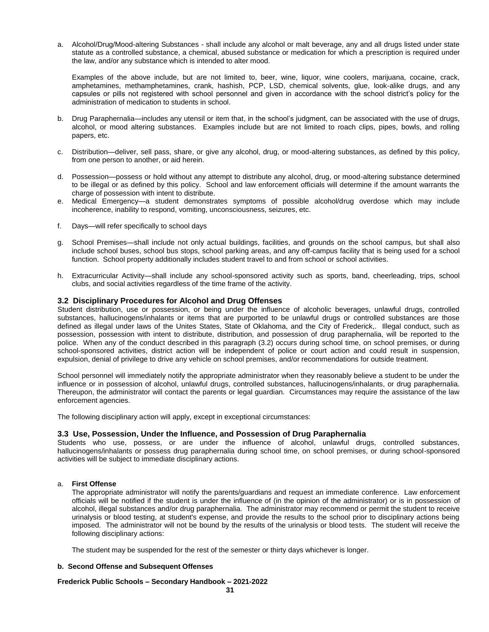a. Alcohol/Drug/Mood-altering Substances - shall include any alcohol or malt beverage, any and all drugs listed under state statute as a controlled substance, a chemical, abused substance or medication for which a prescription is required under the law, and/or any substance which is intended to alter mood.

Examples of the above include, but are not limited to, beer, wine, liquor, wine coolers, marijuana, cocaine, crack, amphetamines, methamphetamines, crank, hashish, PCP, LSD, chemical solvents, glue, look-alike drugs, and any capsules or pills not registered with school personnel and given in accordance with the school district's policy for the administration of medication to students in school.

- b. Drug Paraphernalia—includes any utensil or item that, in the school's judgment, can be associated with the use of drugs, alcohol, or mood altering substances. Examples include but are not limited to roach clips, pipes, bowls, and rolling papers, etc.
- c. Distribution—deliver, sell pass, share, or give any alcohol, drug, or mood-altering substances, as defined by this policy, from one person to another, or aid herein.
- d. Possession—possess or hold without any attempt to distribute any alcohol, drug, or mood-altering substance determined to be illegal or as defined by this policy. School and law enforcement officials will determine if the amount warrants the charge of possession with intent to distribute.
- e. Medical Emergency—a student demonstrates symptoms of possible alcohol/drug overdose which may include incoherence, inability to respond, vomiting, unconsciousness, seizures, etc.
- f. Days—will refer specifically to school days
- g. School Premises—shall include not only actual buildings, facilities, and grounds on the school campus, but shall also include school buses, school bus stops, school parking areas, and any off-campus facility that is being used for a school function. School property additionally includes student travel to and from school or school activities.
- h. Extracurricular Activity—shall include any school-sponsored activity such as sports, band, cheerleading, trips, school clubs, and social activities regardless of the time frame of the activity.

#### **3.2 Disciplinary Procedures for Alcohol and Drug Offenses**

Student distribution, use or possession, or being under the influence of alcoholic beverages, unlawful drugs, controlled substances, hallucinogens/inhalants or items that are purported to be unlawful drugs or controlled substances are those defined as illegal under laws of the Unites States, State of Oklahoma, and the City of Frederick,. Illegal conduct, such as possession, possession with intent to distribute, distribution, and possession of drug paraphernalia, will be reported to the police. When any of the conduct described in this paragraph (3.2) occurs during school time, on school premises, or during school-sponsored activities, district action will be independent of police or court action and could result in suspension, expulsion, denial of privilege to drive any vehicle on school premises, and/or recommendations for outside treatment.

School personnel will immediately notify the appropriate administrator when they reasonably believe a student to be under the influence or in possession of alcohol, unlawful drugs, controlled substances, hallucinogens/inhalants, or drug paraphernalia. Thereupon, the administrator will contact the parents or legal guardian. Circumstances may require the assistance of the law enforcement agencies.

The following disciplinary action will apply, except in exceptional circumstances:

#### **3.3 Use, Possession, Under the Influence, and Possession of Drug Paraphernalia**

Students who use, possess, or are under the influence of alcohol, unlawful drugs, controlled substances, hallucinogens/inhalants or possess drug paraphernalia during school time, on school premises, or during school-sponsored activities will be subject to immediate disciplinary actions.

#### a. **First Offense**

The appropriate administrator will notify the parents/guardians and request an immediate conference. Law enforcement officials will be notified if the student is under the influence of (in the opinion of the administrator) or is in possession of alcohol, illegal substances and/or drug paraphernalia. The administrator may recommend or permit the student to receive urinalysis or blood testing, at student's expense, and provide the results to the school prior to disciplinary actions being imposed. The administrator will not be bound by the results of the urinalysis or blood tests. The student will receive the following disciplinary actions:

The student may be suspended for the rest of the semester or thirty days whichever is longer.

#### **b. Second Offense and Subsequent Offenses**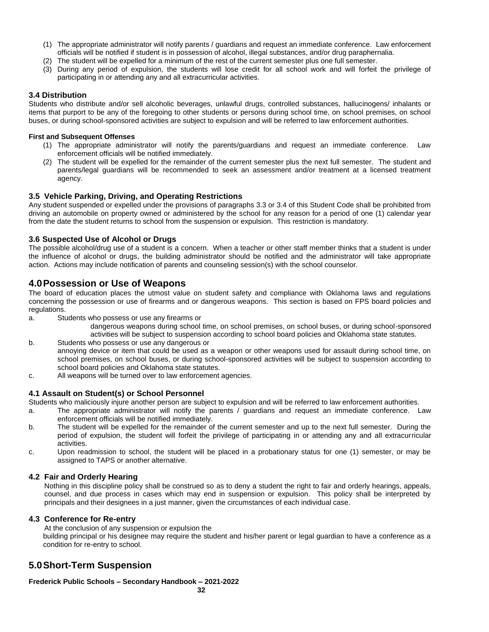- (1) The appropriate administrator will notify parents / guardians and request an immediate conference. Law enforcement officials will be notified if student is in possession of alcohol, illegal substances, and/or drug paraphernalia.
- (2) The student will be expelled for a minimum of the rest of the current semester plus one full semester.
- (3) During any period of expulsion, the students will lose credit for all school work and will forfeit the privilege of participating in or attending any and all extracurricular activities.

#### **3.4 Distribution**

Students who distribute and/or sell alcoholic beverages, unlawful drugs, controlled substances, hallucinogens/ inhalants or items that purport to be any of the foregoing to other students or persons during school time, on school premises, on school buses, or during school-sponsored activities are subject to expulsion and will be referred to law enforcement authorities.

#### **First and Subsequent Offenses**

- (1) The appropriate administrator will notify the parents/guardians and request an immediate conference. Law enforcement officials will be notified immediately.
- (2) The student will be expelled for the remainder of the current semester plus the next full semester. The student and parents/legal guardians will be recommended to seek an assessment and/or treatment at a licensed treatment agency.

#### **3.5 Vehicle Parking, Driving, and Operating Restrictions**

Any student suspended or expelled under the provisions of paragraphs 3.3 or 3.4 of this Student Code shall be prohibited from driving an automobile on property owned or administered by the school for any reason for a period of one (1) calendar year from the date the student returns to school from the suspension or expulsion. This restriction is mandatory.

#### **3.6 Suspected Use of Alcohol or Drugs**

The possible alcohol/drug use of a student is a concern. When a teacher or other staff member thinks that a student is under the influence of alcohol or drugs, the building administrator should be notified and the administrator will take appropriate action. Actions may include notification of parents and counseling session(s) with the school counselor.

### **4.0Possession or Use of Weapons**

The board of education places the utmost value on student safety and compliance with Oklahoma laws and regulations concerning the possession or use of firearms and or dangerous weapons. This section is based on FPS board policies and regulations.

- a. Students who possess or use any firearms or
	- dangerous weapons during school time, on school premises, on school buses, or during school-sponsored activities will be subject to suspension according to school board policies and Oklahoma state statutes.
- b. Students who possess or use any dangerous or annoying device or item that could be used as a weapon or other weapons used for assault during school time, on school premises, on school buses, or during school-sponsored activities will be subject to suspension according to school board policies and Oklahoma state statutes.
- c. All weapons will be turned over to law enforcement agencies.

#### **4.1 Assault on Student(s) or School Personnel**

Students who maliciously injure another person are subject to expulsion and will be referred to law enforcement authorities.

- a. The appropriate administrator will notify the parents / guardians and request an immediate conference. Law enforcement officials will be notified immediately.
- b. The student will be expelled for the remainder of the current semester and up to the next full semester. During the period of expulsion, the student will forfeit the privilege of participating in or attending any and all extracurricular activities.
- c. Upon readmission to school, the student will be placed in a probationary status for one (1) semester, or may be assigned to TAPS or another alternative.

#### **4.2 Fair and Orderly Hearing**

Nothing in this discipline policy shall be construed so as to deny a student the right to fair and orderly hearings, appeals, counsel, and due process in cases which may end in suspension or expulsion. This policy shall be interpreted by principals and their designees in a just manner, given the circumstances of each individual case.

#### **4.3 Conference for Re-entry**

At the conclusion of any suspension or expulsion the building principal or his designee may require the student and his/her parent or legal guardian to have a conference as a condition for re-entry to school.

### **5.0Short-Term Suspension**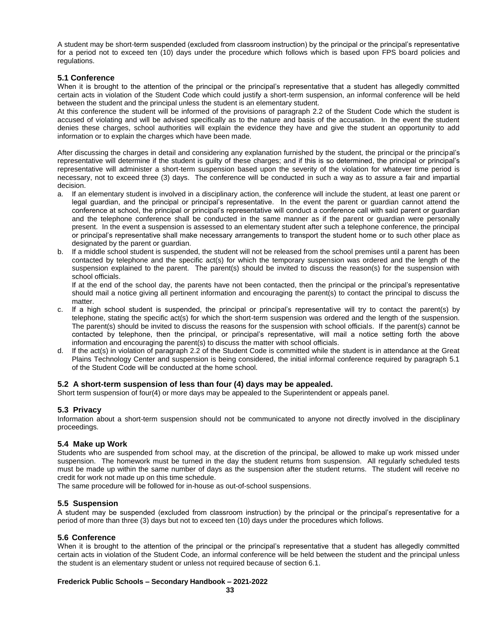A student may be short-term suspended (excluded from classroom instruction) by the principal or the principal's representative for a period not to exceed ten (10) days under the procedure which follows which is based upon FPS board policies and regulations.

#### **5.1 Conference**

When it is brought to the attention of the principal or the principal's representative that a student has allegedly committed certain acts in violation of the Student Code which could justify a short-term suspension, an informal conference will be held between the student and the principal unless the student is an elementary student.

At this conference the student will be informed of the provisions of paragraph 2.2 of the Student Code which the student is accused of violating and will be advised specifically as to the nature and basis of the accusation. In the event the student denies these charges, school authorities will explain the evidence they have and give the student an opportunity to add information or to explain the charges which have been made.

After discussing the charges in detail and considering any explanation furnished by the student, the principal or the principal's representative will determine if the student is guilty of these charges; and if this is so determined, the principal or principal's representative will administer a short-term suspension based upon the severity of the violation for whatever time period is necessary, not to exceed three (3) days. The conference will be conducted in such a way as to assure a fair and impartial decision.

- a. If an elementary student is involved in a disciplinary action, the conference will include the student, at least one parent or legal guardian, and the principal or principal's representative. In the event the parent or guardian cannot attend the conference at school, the principal or principal's representative will conduct a conference call with said parent or guardian and the telephone conference shall be conducted in the same manner as if the parent or guardian were personally present. In the event a suspension is assessed to an elementary student after such a telephone conference, the principal or principal's representative shall make necessary arrangements to transport the student home or to such other place as designated by the parent or guardian.
- b. If a middle school student is suspended, the student will not be released from the school premises until a parent has been contacted by telephone and the specific act(s) for which the temporary suspension was ordered and the length of the suspension explained to the parent. The parent(s) should be invited to discuss the reason(s) for the suspension with school officials.

If at the end of the school day, the parents have not been contacted, then the principal or the principal's representative should mail a notice giving all pertinent information and encouraging the parent(s) to contact the principal to discuss the matter.

- c. If a high school student is suspended, the principal or principal's representative will try to contact the parent(s) by telephone, stating the specific act(s) for which the short-term suspension was ordered and the length of the suspension. The parent(s) should be invited to discuss the reasons for the suspension with school officials. If the parent(s) cannot be contacted by telephone, then the principal, or principal's representative, will mail a notice setting forth the above information and encouraging the parent(s) to discuss the matter with school officials.
- d. If the act(s) in violation of paragraph 2.2 of the Student Code is committed while the student is in attendance at the Great Plains Technology Center and suspension is being considered, the initial informal conference required by paragraph 5.1 of the Student Code will be conducted at the home school.

#### **5.2 A short-term suspension of less than four (4) days may be appealed.**

Short term suspension of four(4) or more days may be appealed to the Superintendent or appeals panel.

#### **5.3 Privacy**

Information about a short-term suspension should not be communicated to anyone not directly involved in the disciplinary proceedings.

#### **5.4 Make up Work**

Students who are suspended from school may, at the discretion of the principal, be allowed to make up work missed under suspension. The homework must be turned in the day the student returns from suspension. All regularly scheduled tests must be made up within the same number of days as the suspension after the student returns. The student will receive no credit for work not made up on this time schedule.

The same procedure will be followed for in-house as out-of-school suspensions.

#### **5.5 Suspension**

A student may be suspended (excluded from classroom instruction) by the principal or the principal's representative for a period of more than three (3) days but not to exceed ten (10) days under the procedures which follows.

#### **5.6 Conference**

When it is brought to the attention of the principal or the principal's representative that a student has allegedly committed certain acts in violation of the Student Code, an informal conference will be held between the student and the principal unless the student is an elementary student or unless not required because of section 6.1.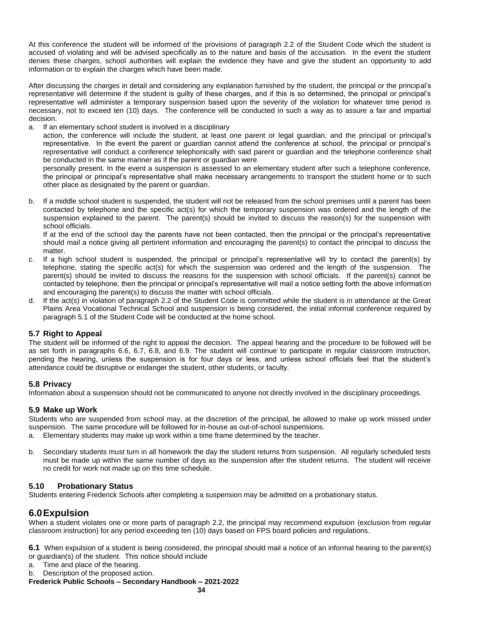At this conference the student will be informed of the provisions of paragraph 2.2 of the Student Code which the student is accused of violating and will be advised specifically as to the nature and basis of the accusation. In the event the student denies these charges, school authorities will explain the evidence they have and give the student an opportunity to add information or to explain the charges which have been made.

After discussing the charges in detail and considering any explanation furnished by the student, the principal or the principal's representative will determine if the student is guilty of these charges, and if this is so determined, the principal or principal's representative will administer a temporary suspension based upon the severity of the violation for whatever time period is necessary, not to exceed ten (10) days. The conference will be conducted in such a way as to assure a fair and impartial decision.

#### a. If an elementary school student is involved in a disciplinary

action, the conference will include the student, at least one parent or legal guardian, and the principal or principal's representative. In the event the parent or guardian cannot attend the conference at school, the principal or principal's representative will conduct a conference telephonically with said parent or guardian and the telephone conference shall be conducted in the same manner as if the parent or guardian were

personally present. In the event a suspension is assessed to an elementary student after such a telephone conference, the principal or principal's representative shall make necessary arrangements to transport the student home or to such other place as designated by the parent or guardian.

b. If a middle school student is suspended, the student will not be released from the school premises until a parent has been contacted by telephone and the specific act(s) for which the temporary suspension was ordered and the length of the suspension explained to the parent. The parent(s) should be invited to discuss the reason(s) for the suspension with school officials.

If at the end of the school day the parents have not been contacted, then the principal or the principal's representative should mail a notice giving all pertinent information and encouraging the parent(s) to contact the principal to discuss the matter

- c. If a high school student is suspended, the principal or principal's representative will try to contact the parent(s) by telephone, stating the specific act(s) for which the suspension was ordered and the length of the suspension. The parent(s) should be invited to discuss the reasons for the suspension with school officials. If the parent(s) cannot be contacted by telephone, then the principal or principal's representative will mail a notice setting forth the above information and encouraging the parent(s) to discuss the matter with school officials.
- d. If the act(s) in violation of paragraph 2.2 of the Student Code is committed while the student is in attendance at the Great Plains Area Vocational Technical School and suspension is being considered, the initial informal conference required by paragraph 5.1 of the Student Code will be conducted at the home school.

#### **5.7 Right to Appeal**

The student will be informed of the right to appeal the decision. The appeal hearing and the procedure to be followed will be as set forth in paragraphs 6.6, 6.7, 6.8, and 6.9. The student will continue to participate in regular classroom instruction, pending the hearing, unless the suspension is for four days or less, and unless school officials feel that the student's attendance could be disruptive or endanger the student, other students, or faculty.

#### **5.8 Privacy**

Information about a suspension should not be communicated to anyone not directly involved in the disciplinary proceedings.

#### **5.9 Make up Work**

Students who are suspended from school may, at the discretion of the principal, be allowed to make up work missed under suspension. The same procedure will be followed for in-house as out-of-school suspensions.

- a. Elementary students may make up work within a time frame determined by the teacher.
- b. Secondary students must turn in all homework the day the student returns from suspension. All regularly scheduled tests must be made up within the same number of days as the suspension after the student returns. The student will receive no credit for work not made up on this time schedule.

#### **5.10 Probationary Status**

Students entering Frederick Schools after completing a suspension may be admitted on a probationary status.

#### **6.0Expulsion**

When a student violates one or more parts of paragraph 2.2, the principal may recommend expulsion (exclusion from regular classroom instruction) for any period exceeding ten (10) days based on FPS board policies and regulations.

**6.1** When expulsion of a student is being considered, the principal should mail a notice of an informal hearing to the parent(s) or guardian(s) of the student. This notice should include

- a. Time and place of the hearing.
- b. Description of the proposed action.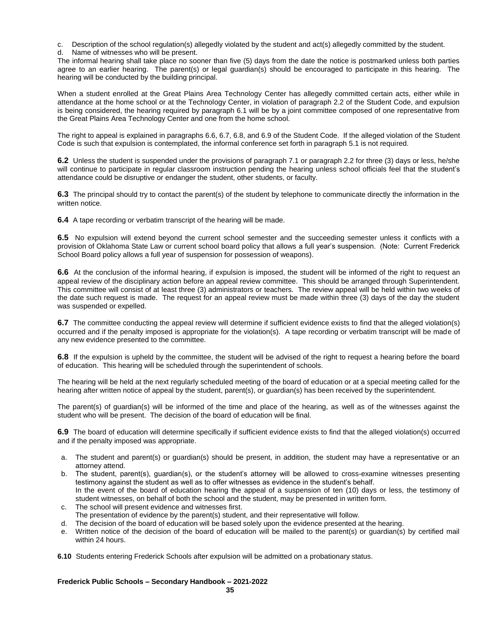c. Description of the school regulation(s) allegedly violated by the student and act(s) allegedly committed by the student.

d. Name of witnesses who will be present.

The informal hearing shall take place no sooner than five (5) days from the date the notice is postmarked unless both parties agree to an earlier hearing. The parent(s) or legal guardian(s) should be encouraged to participate in this hearing. The hearing will be conducted by the building principal.

When a student enrolled at the Great Plains Area Technology Center has allegedly committed certain acts, either while in attendance at the home school or at the Technology Center, in violation of paragraph 2.2 of the Student Code, and expulsion is being considered, the hearing required by paragraph 6.1 will be by a joint committee composed of one representative from the Great Plains Area Technology Center and one from the home school.

The right to appeal is explained in paragraphs 6.6, 6.7, 6.8, and 6.9 of the Student Code. If the alleged violation of the Student Code is such that expulsion is contemplated, the informal conference set forth in paragraph 5.1 is not required.

**6.2** Unless the student is suspended under the provisions of paragraph 7.1 or paragraph 2.2 for three (3) days or less, he/she will continue to participate in regular classroom instruction pending the hearing unless school officials feel that the student's attendance could be disruptive or endanger the student, other students, or faculty.

**6.3** The principal should try to contact the parent(s) of the student by telephone to communicate directly the information in the written notice.

**6.4** A tape recording or verbatim transcript of the hearing will be made.

**6.5** No expulsion will extend beyond the current school semester and the succeeding semester unless it conflicts with a provision of Oklahoma State Law or current school board policy that allows a full year's suspension. (Note: Current Frederick School Board policy allows a full year of suspension for possession of weapons).

**6.6** At the conclusion of the informal hearing, if expulsion is imposed, the student will be informed of the right to request an appeal review of the disciplinary action before an appeal review committee. This should be arranged through Superintendent. This committee will consist of at least three (3) administrators or teachers. The review appeal will be held within two weeks of the date such request is made. The request for an appeal review must be made within three (3) days of the day the student was suspended or expelled.

**6.7** The committee conducting the appeal review will determine if sufficient evidence exists to find that the alleged violation(s) occurred and if the penalty imposed is appropriate for the violation(s). A tape recording or verbatim transcript will be made of any new evidence presented to the committee.

**6.8** If the expulsion is upheld by the committee, the student will be advised of the right to request a hearing before the board of education. This hearing will be scheduled through the superintendent of schools.

The hearing will be held at the next regularly scheduled meeting of the board of education or at a special meeting called for the hearing after written notice of appeal by the student, parent(s), or guardian(s) has been received by the superintendent.

The parent(s) of guardian(s) will be informed of the time and place of the hearing, as well as of the witnesses against the student who will be present. The decision of the board of education will be final.

**6.9** The board of education will determine specifically if sufficient evidence exists to find that the alleged violation(s) occurred and if the penalty imposed was appropriate.

- a. The student and parent(s) or guardian(s) should be present, in addition, the student may have a representative or an attorney attend.
- b. The student, parent(s), guardian(s), or the student's attorney will be allowed to cross-examine witnesses presenting testimony against the student as well as to offer witnesses as evidence in the student's behalf. In the event of the board of education hearing the appeal of a suspension of ten (10) days or less, the testimony of student witnesses, on behalf of both the school and the student, may be presented in written form.
- c. The school will present evidence and witnesses first. The presentation of evidence by the parent(s) student, and their representative will follow.
- 
- d. The decision of the board of education will be based solely upon the evidence presented at the hearing.
- e. Written notice of the decision of the board of education will be mailed to the parent(s) or guardian(s) by certified mail within 24 hours.

**6.10** Students entering Frederick Schools after expulsion will be admitted on a probationary status.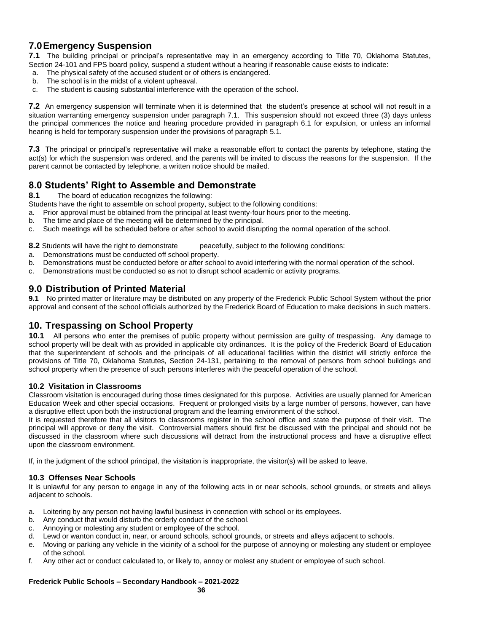# **7.0Emergency Suspension**

**7.1** The building principal or principal's representative may in an emergency according to Title 70, Oklahoma Statutes, Section 24-101 and FPS board policy, suspend a student without a hearing if reasonable cause exists to indicate:

- a. The physical safety of the accused student or of others is endangered.
- b. The school is in the midst of a violent upheaval.
- c. The student is causing substantial interference with the operation of the school.

**7.2** An emergency suspension will terminate when it is determined that the student's presence at school will not result in a situation warranting emergency suspension under paragraph 7.1. This suspension should not exceed three (3) days unless the principal commences the notice and hearing procedure provided in paragraph 6.1 for expulsion, or unless an informal hearing is held for temporary suspension under the provisions of paragraph 5.1.

**7.3** The principal or principal's representative will make a reasonable effort to contact the parents by telephone, stating the act(s) for which the suspension was ordered, and the parents will be invited to discuss the reasons for the suspension. If the parent cannot be contacted by telephone, a written notice should be mailed.

### **8.0 Students' Right to Assemble and Demonstrate**

**8.1** The board of education recognizes the following:

- Students have the right to assemble on school property, subject to the following conditions:
- a. Prior approval must be obtained from the principal at least twenty-four hours prior to the meeting.
- b. The time and place of the meeting will be determined by the principal.
- c. Such meetings will be scheduled before or after school to avoid disrupting the normal operation of the school.

**8.2** Students will have the right to demonstrate peacefully, subject to the following conditions:

- a. Demonstrations must be conducted off school property.
- b. Demonstrations must be conducted before or after school to avoid interfering with the normal operation of the school.
- c. Demonstrations must be conducted so as not to disrupt school academic or activity programs.

### **9.0 Distribution of Printed Material**

**9.1** No printed matter or literature may be distributed on any property of the Frederick Public School System without the prior approval and consent of the school officials authorized by the Frederick Board of Education to make decisions in such matters.

### **10. Trespassing on School Property**

**10.1** All persons who enter the premises of public property without permission are guilty of trespassing. Any damage to school property will be dealt with as provided in applicable city ordinances. It is the policy of the Frederick Board of Education that the superintendent of schools and the principals of all educational facilities within the district will strictly enforce the provisions of Title 70, Oklahoma Statutes, Section 24-131, pertaining to the removal of persons from school buildings and school property when the presence of such persons interferes with the peaceful operation of the school.

#### **10.2 Visitation in Classrooms**

Classroom visitation is encouraged during those times designated for this purpose. Activities are usually planned for American Education Week and other special occasions. Frequent or prolonged visits by a large number of persons, however, can have a disruptive effect upon both the instructional program and the learning environment of the school.

It is requested therefore that all visitors to classrooms register in the school office and state the purpose of their visit. The principal will approve or deny the visit. Controversial matters should first be discussed with the principal and should not be discussed in the classroom where such discussions will detract from the instructional process and have a disruptive effect upon the classroom environment.

If, in the judgment of the school principal, the visitation is inappropriate, the visitor(s) will be asked to leave.

#### **10.3 Offenses Near Schools**

It is unlawful for any person to engage in any of the following acts in or near schools, school grounds, or streets and alleys adjacent to schools.

- a. Loitering by any person not having lawful business in connection with school or its employees.
- b. Any conduct that would disturb the orderly conduct of the school.
- c. Annoying or molesting any student or employee of the school.
- d. Lewd or wanton conduct in, near, or around schools, school grounds, or streets and alleys adjacent to schools.
- e. Moving or parking any vehicle in the vicinity of a school for the purpose of annoying or molesting any student or employee of the school.
- f. Any other act or conduct calculated to, or likely to, annoy or molest any student or employee of such school.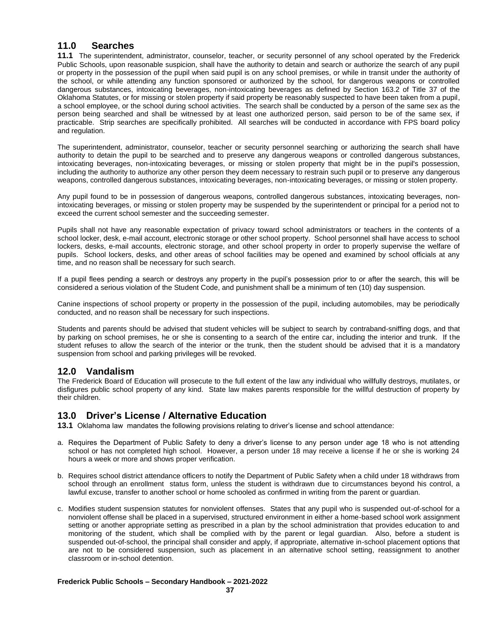### **11.0 Searches**

**11.1** The superintendent, administrator, counselor, teacher, or security personnel of any school operated by the Frederick Public Schools, upon reasonable suspicion, shall have the authority to detain and search or authorize the search of any pupil or property in the possession of the pupil when said pupil is on any school premises, or while in transit under the authority of the school, or while attending any function sponsored or authorized by the school, for dangerous weapons or controlled dangerous substances, intoxicating beverages, non-intoxicating beverages as defined by Section 163.2 of Title 37 of the Oklahoma Statutes, or for missing or stolen property if said property be reasonably suspected to have been taken from a pupil, a school employee, or the school during school activities. The search shall be conducted by a person of the same sex as the person being searched and shall be witnessed by at least one authorized person, said person to be of the same sex, if practicable. Strip searches are specifically prohibited. All searches will be conducted in accordance with FPS board policy and regulation.

The superintendent, administrator, counselor, teacher or security personnel searching or authorizing the search shall have authority to detain the pupil to be searched and to preserve any dangerous weapons or controlled dangerous substances, intoxicating beverages, non-intoxicating beverages, or missing or stolen property that might be in the pupil's possession, including the authority to authorize any other person they deem necessary to restrain such pupil or to preserve any dangerous weapons, controlled dangerous substances, intoxicating beverages, non-intoxicating beverages, or missing or stolen property.

Any pupil found to be in possession of dangerous weapons, controlled dangerous substances, intoxicating beverages, nonintoxicating beverages, or missing or stolen property may be suspended by the superintendent or principal for a period not to exceed the current school semester and the succeeding semester.

Pupils shall not have any reasonable expectation of privacy toward school administrators or teachers in the contents of a school locker, desk, e-mail account, electronic storage or other school property. School personnel shall have access to school lockers, desks, e-mail accounts, electronic storage, and other school property in order to properly supervise the welfare of pupils. School lockers, desks, and other areas of school facilities may be opened and examined by school officials at any time, and no reason shall be necessary for such search.

If a pupil flees pending a search or destroys any property in the pupil's possession prior to or after the search, this will be considered a serious violation of the Student Code, and punishment shall be a minimum of ten (10) day suspension.

Canine inspections of school property or property in the possession of the pupil, including automobiles, may be periodically conducted, and no reason shall be necessary for such inspections.

Students and parents should be advised that student vehicles will be subject to search by contraband-sniffing dogs, and that by parking on school premises, he or she is consenting to a search of the entire car, including the interior and trunk. If the student refuses to allow the search of the interior or the trunk, then the student should be advised that it is a mandatory suspension from school and parking privileges will be revoked.

### **12.0 Vandalism**

The Frederick Board of Education will prosecute to the full extent of the law any individual who willfully destroys, mutilates, or disfigures public school property of any kind. State law makes parents responsible for the willful destruction of property by their children.

### **13.0 Driver's License / Alternative Education**

**13.1** Oklahoma law mandates the following provisions relating to driver's license and school attendance:

- a. Requires the Department of Public Safety to deny a driver's license to any person under age 18 who is not attending school or has not completed high school. However, a person under 18 may receive a license if he or she is working 24 hours a week or more and shows proper verification.
- b. Requires school district attendance officers to notify the Department of Public Safety when a child under 18 withdraws from school through an enrollment status form, unless the student is withdrawn due to circumstances beyond his control, a lawful excuse, transfer to another school or home schooled as confirmed in writing from the parent or guardian.
- c. Modifies student suspension statutes for nonviolent offenses. States that any pupil who is suspended out-of-school for a nonviolent offense shall be placed in a supervised, structured environment in either a home-based school work assignment setting or another appropriate setting as prescribed in a plan by the school administration that provides education to and monitoring of the student, which shall be complied with by the parent or legal guardian. Also, before a student is suspended out-of-school, the principal shall consider and apply, if appropriate, alternative in-school placement options that are not to be considered suspension, such as placement in an alternative school setting, reassignment to another classroom or in-school detention.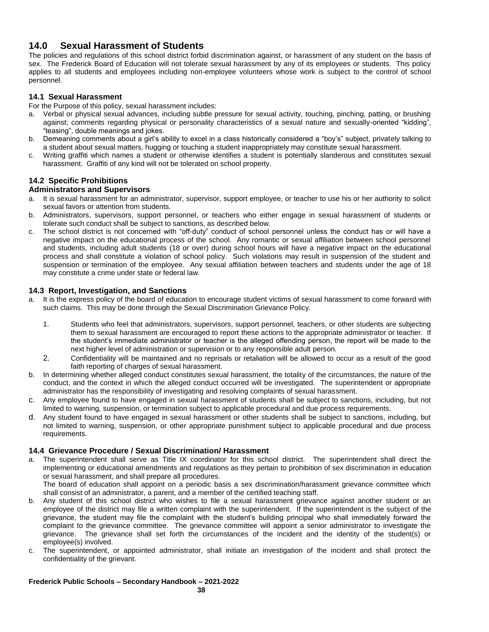### **14.0 Sexual Harassment of Students**

The policies and regulations of this school district forbid discrimination against, or harassment of any student on the basis of sex. The Frederick Board of Education will not tolerate sexual harassment by any of its employees or students. This policy applies to all students and employees including non-employee volunteers whose work is subject to the control of school personnel.

### **14.1 Sexual Harassment**

For the Purpose of this policy, sexual harassment includes:

- a. Verbal or physical sexual advances, including subtle pressure for sexual activity, touching, pinching, patting, or brushing against; comments regarding physical or personality characteristics of a sexual nature and sexually-oriented "kidding", "teasing", double meanings and jokes.
- b. Demeaning comments about a girl's ability to excel in a class historically considered a "boy's" subject, privately talking to a student about sexual matters, hugging or touching a student inappropriately may constitute sexual harassment.
- c. Writing graffiti which names a student or otherwise identifies a student is potentially slanderous and constitutes sexual harassment. Graffiti of any kind will not be tolerated on school property.

#### **14.2 Specific Prohibitions**

#### **Administrators and Supervisors**

- a. It is sexual harassment for an administrator, supervisor, support employee, or teacher to use his or her authority to solicit sexual favors or attention from students.
- b. Administrators, supervisors, support personnel, or teachers who either engage in sexual harassment of students or tolerate such conduct shall be subject to sanctions, as described below.
- c. The school district is not concerned with "off-duty" conduct of school personnel unless the conduct has or will have a negative impact on the educational process of the school. Any romantic or sexual affiliation between school personnel and students, including adult students (18 or over) during school hours will have a negative impact on the educational process and shall constitute a violation of school policy. Such violations may result in suspension of the student and suspension or termination of the employee. Any sexual affiliation between teachers and students under the age of 18 may constitute a crime under state or federal law.

#### **14.3 Report, Investigation, and Sanctions**

- a. It is the express policy of the board of education to encourage student victims of sexual harassment to come forward with such claims. This may be done through the Sexual Discrimination Grievance Policy.
	- 1. Students who feel that administrators, supervisors, support personnel, teachers, or other students are subjecting them to sexual harassment are encouraged to report these actions to the appropriate administrator or teacher. If the student's immediate administrator or teacher is the alleged offending person, the report will be made to the next higher level of administration or supervision or to any responsible adult person.
	- 2. Confidentiality will be maintained and no reprisals or retaliation will be allowed to occur as a result of the good faith reporting of charges of sexual harassment.
- b. In determining whether alleged conduct constitutes sexual harassment, the totality of the circumstances, the nature of the conduct, and the context in which the alleged conduct occurred will be investigated. The superintendent or appropriate administrator has the responsibility of investigating and resolving complaints of sexual harassment.
- c. Any employee found to have engaged in sexual harassment of students shall be subject to sanctions, including, but not limited to warning, suspension, or termination subject to applicable procedural and due process requirements.
- d. Any student found to have engaged in sexual harassment or other students shall be subject to sanctions, including, but not limited to warning, suspension, or other appropriate punishment subject to applicable procedural and due process requirements.

#### **14.4 Grievance Procedure / Sexual Discrimination/ Harassment**

a. The superintendent shall serve as Title IX coordinator for this school district. The superintendent shall direct the implementing or educational amendments and regulations as they pertain to prohibition of sex discrimination in education or sexual harassment, and shall prepare all procedures.

The board of education shall appoint on a periodic basis a sex discrimination/harassment grievance committee which shall consist of an administrator, a parent, and a member of the certified teaching staff.

- b. Any student of this school district who wishes to file a sexual harassment grievance against another student or an employee of the district may file a written complaint with the superintendent. If the superintendent is the subject of the grievance, the student may file the complaint with the student's building principal who shall immediately forward the complaint to the grievance committee. The grievance committee will appoint a senior administrator to investigate the grievance. The grievance shall set forth the circumstances of the incident and the identity of the student(s) or employee(s) involved.
- c. The superintendent, or appointed administrator, shall initiate an investigation of the incident and shall protect the confidentiality of the grievant.